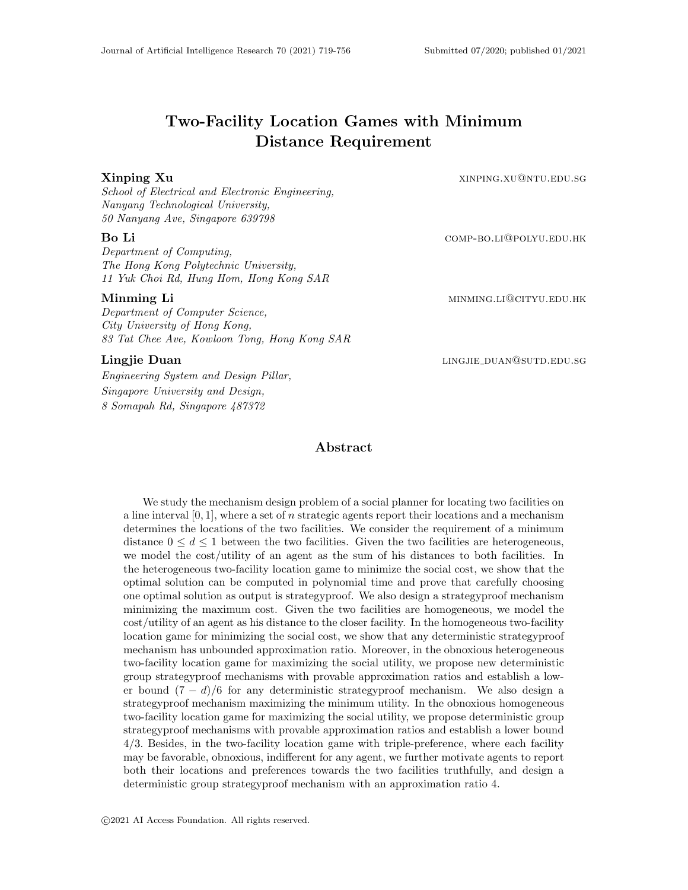# Two-Facility Location Games with Minimum Distance Requirement

**Xinping Xu** xinping **Xu** xinping.xu@ntu.edu.sg

School of Electrical and Electronic Engineering, Nanyang Technological University, 50 Nanyang Ave, Singapore 639798

#### Bo Li comp-bo.li@polyu.edu.hk

Department of Computing, The Hong Kong Polytechnic University, 11 Yuk Choi Rd, Hung Hom, Hong Kong SAR

#### Minming Li minimide to the minimide of the minimide of the minimide of the minimide of the minimide of the minimide of the minimide of the minimide of the minimide of the minimide of the minimide of the minimide of the min

Department of Computer Science, City University of Hong Kong, 83 Tat Chee Ave, Kowloon Tong, Hong Kong SAR

Engineering System and Design Pillar, Singapore University and Design, 8 Somapah Rd, Singapore 487372

#### Abstract

We study the mechanism design problem of a social planner for locating two facilities on a line interval  $[0, 1]$ , where a set of n strategic agents report their locations and a mechanism determines the locations of the two facilities. We consider the requirement of a minimum distance  $0 \leq d \leq 1$  between the two facilities. Given the two facilities are heterogeneous, we model the cost/utility of an agent as the sum of his distances to both facilities. In the heterogeneous two-facility location game to minimize the social cost, we show that the optimal solution can be computed in polynomial time and prove that carefully choosing one optimal solution as output is strategyproof. We also design a strategyproof mechanism minimizing the maximum cost. Given the two facilities are homogeneous, we model the cost/utility of an agent as his distance to the closer facility. In the homogeneous two-facility location game for minimizing the social cost, we show that any deterministic strategyproof mechanism has unbounded approximation ratio. Moreover, in the obnoxious heterogeneous two-facility location game for maximizing the social utility, we propose new deterministic group strategyproof mechanisms with provable approximation ratios and establish a lower bound  $(7 - d)/6$  for any deterministic strategyproof mechanism. We also design a strategyproof mechanism maximizing the minimum utility. In the obnoxious homogeneous two-facility location game for maximizing the social utility, we propose deterministic group strategyproof mechanisms with provable approximation ratios and establish a lower bound 4/3. Besides, in the two-facility location game with triple-preference, where each facility may be favorable, obnoxious, indifferent for any agent, we further motivate agents to report both their locations and preferences towards the two facilities truthfully, and design a deterministic group strategyproof mechanism with an approximation ratio 4.

Lingjie Duan linggie duan linggie duan linggie duan linggie duan linggie duan linggie duan linggie duan linggi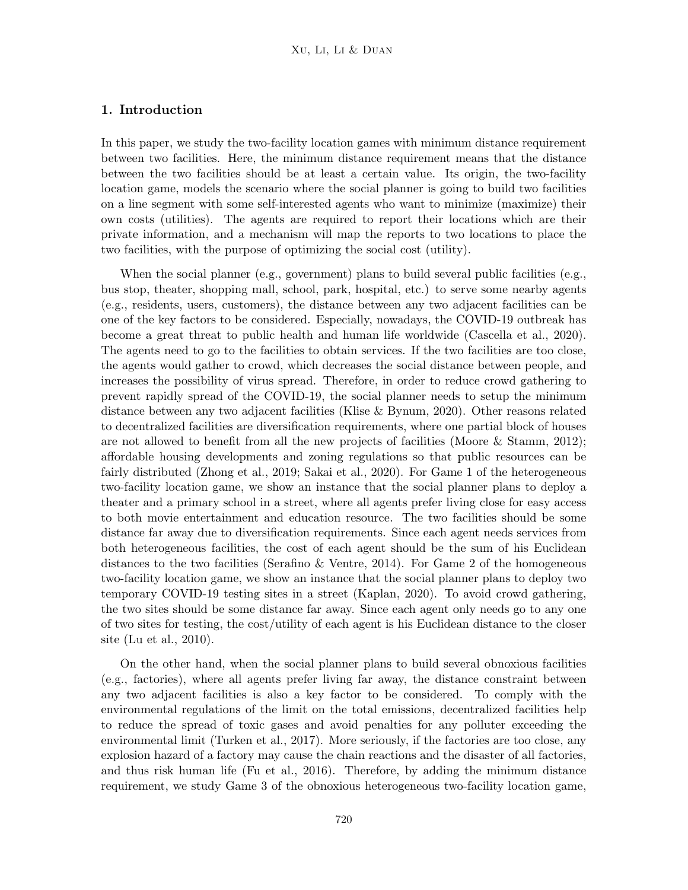# 1. Introduction

In this paper, we study the two-facility location games with minimum distance requirement between two facilities. Here, the minimum distance requirement means that the distance between the two facilities should be at least a certain value. Its origin, the two-facility location game, models the scenario where the social planner is going to build two facilities on a line segment with some self-interested agents who want to minimize (maximize) their own costs (utilities). The agents are required to report their locations which are their private information, and a mechanism will map the reports to two locations to place the two facilities, with the purpose of optimizing the social cost (utility).

When the social planner (e.g., government) plans to build several public facilities (e.g., bus stop, theater, shopping mall, school, park, hospital, etc.) to serve some nearby agents (e.g., residents, users, customers), the distance between any two adjacent facilities can be one of the key factors to be considered. Especially, nowadays, the COVID-19 outbreak has become a great threat to public health and human life worldwide (Cascella et al., 2020). The agents need to go to the facilities to obtain services. If the two facilities are too close, the agents would gather to crowd, which decreases the social distance between people, and increases the possibility of virus spread. Therefore, in order to reduce crowd gathering to prevent rapidly spread of the COVID-19, the social planner needs to setup the minimum distance between any two adjacent facilities (Klise & Bynum, 2020). Other reasons related to decentralized facilities are diversification requirements, where one partial block of houses are not allowed to benefit from all the new projects of facilities (Moore & Stamm, 2012); affordable housing developments and zoning regulations so that public resources can be fairly distributed (Zhong et al., 2019; Sakai et al., 2020). For Game 1 of the heterogeneous two-facility location game, we show an instance that the social planner plans to deploy a theater and a primary school in a street, where all agents prefer living close for easy access to both movie entertainment and education resource. The two facilities should be some distance far away due to diversification requirements. Since each agent needs services from both heterogeneous facilities, the cost of each agent should be the sum of his Euclidean distances to the two facilities (Serafino & Ventre, 2014). For Game 2 of the homogeneous two-facility location game, we show an instance that the social planner plans to deploy two temporary COVID-19 testing sites in a street (Kaplan, 2020). To avoid crowd gathering, the two sites should be some distance far away. Since each agent only needs go to any one of two sites for testing, the cost/utility of each agent is his Euclidean distance to the closer site (Lu et al., 2010).

On the other hand, when the social planner plans to build several obnoxious facilities (e.g., factories), where all agents prefer living far away, the distance constraint between any two adjacent facilities is also a key factor to be considered. To comply with the environmental regulations of the limit on the total emissions, decentralized facilities help to reduce the spread of toxic gases and avoid penalties for any polluter exceeding the environmental limit (Turken et al., 2017). More seriously, if the factories are too close, any explosion hazard of a factory may cause the chain reactions and the disaster of all factories, and thus risk human life (Fu et al., 2016). Therefore, by adding the minimum distance requirement, we study Game 3 of the obnoxious heterogeneous two-facility location game,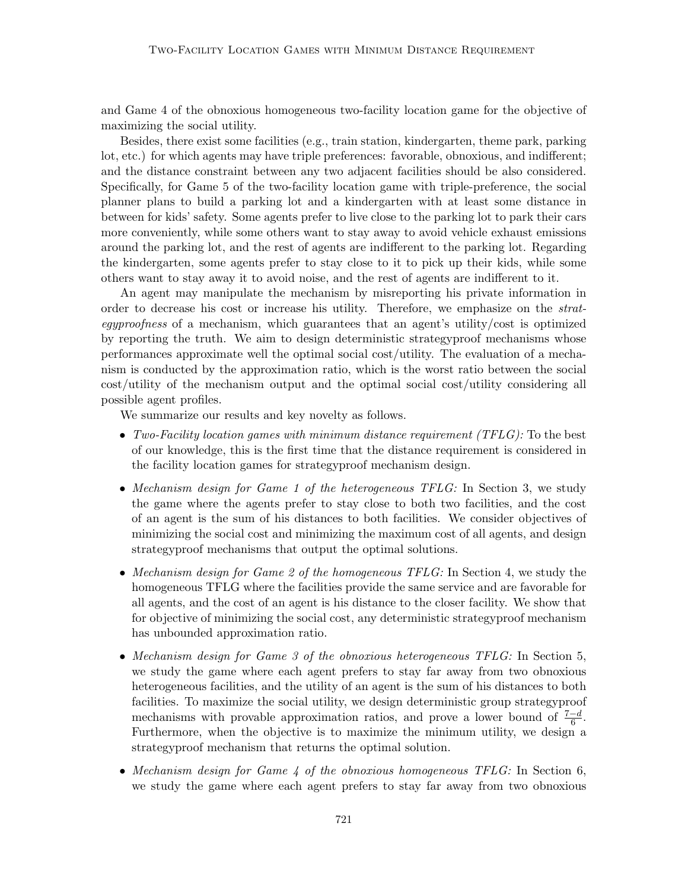and Game 4 of the obnoxious homogeneous two-facility location game for the objective of maximizing the social utility.

Besides, there exist some facilities (e.g., train station, kindergarten, theme park, parking lot, etc.) for which agents may have triple preferences: favorable, obnoxious, and indifferent; and the distance constraint between any two adjacent facilities should be also considered. Specifically, for Game 5 of the two-facility location game with triple-preference, the social planner plans to build a parking lot and a kindergarten with at least some distance in between for kids' safety. Some agents prefer to live close to the parking lot to park their cars more conveniently, while some others want to stay away to avoid vehicle exhaust emissions around the parking lot, and the rest of agents are indifferent to the parking lot. Regarding the kindergarten, some agents prefer to stay close to it to pick up their kids, while some others want to stay away it to avoid noise, and the rest of agents are indifferent to it.

An agent may manipulate the mechanism by misreporting his private information in order to decrease his cost or increase his utility. Therefore, we emphasize on the strategyproofness of a mechanism, which guarantees that an agent's utility/cost is optimized by reporting the truth. We aim to design deterministic strategyproof mechanisms whose performances approximate well the optimal social cost/utility. The evaluation of a mechanism is conducted by the approximation ratio, which is the worst ratio between the social cost/utility of the mechanism output and the optimal social cost/utility considering all possible agent profiles.

We summarize our results and key novelty as follows.

- Two-Facility location games with minimum distance requirement (TFLG): To the best of our knowledge, this is the first time that the distance requirement is considered in the facility location games for strategyproof mechanism design.
- Mechanism design for Game 1 of the heterogeneous TFLG: In Section 3, we study the game where the agents prefer to stay close to both two facilities, and the cost of an agent is the sum of his distances to both facilities. We consider objectives of minimizing the social cost and minimizing the maximum cost of all agents, and design strategyproof mechanisms that output the optimal solutions.
- Mechanism design for Game 2 of the homogeneous TFLG: In Section 4, we study the homogeneous TFLG where the facilities provide the same service and are favorable for all agents, and the cost of an agent is his distance to the closer facility. We show that for objective of minimizing the social cost, any deterministic strategyproof mechanism has unbounded approximation ratio.
- Mechanism design for Game 3 of the obnoxious heterogeneous TFLG: In Section 5, we study the game where each agent prefers to stay far away from two obnoxious heterogeneous facilities, and the utility of an agent is the sum of his distances to both facilities. To maximize the social utility, we design deterministic group strategyproof mechanisms with provable approximation ratios, and prove a lower bound of  $\frac{7-d}{6}$ . Furthermore, when the objective is to maximize the minimum utility, we design a strategyproof mechanism that returns the optimal solution.
- Mechanism design for Game 4 of the obnoxious homogeneous TFLG: In Section 6, we study the game where each agent prefers to stay far away from two obnoxious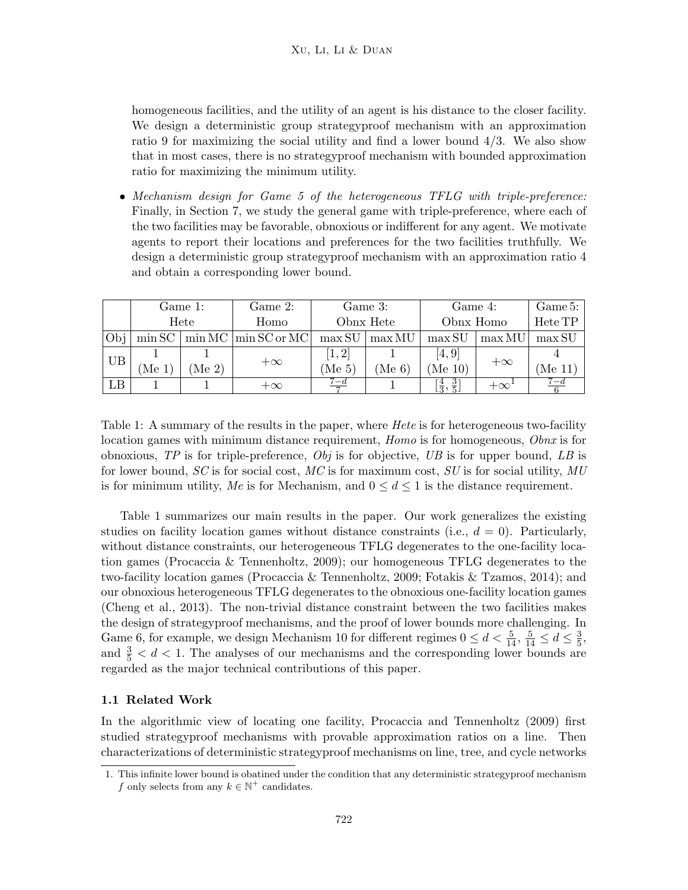homogeneous facilities, and the utility of an agent is his distance to the closer facility. We design a deterministic group strategyproof mechanism with an approximation ratio 9 for maximizing the social utility and find a lower bound  $4/3$ . We also show that in most cases, there is no strategyproof mechanism with bounded approximation ratio for maximizing the minimum utility.

• Mechanism design for Game 5 of the heterogeneous TFLG with triple-preference: Finally, in Section 7, we study the general game with triple-preference, where each of the two facilities may be favorable, obnoxious or indifferent for any agent. We motivate agents to report their locations and preferences for the two facilities truthfully. We design a deterministic group strategyproof mechanism with an approximation ratio 4 and obtain a corresponding lower bound.

|                  |      | Game 1: | Game 2:                                            |                    | Game 3:                | Game 4:                        |           | Game 5: |  |
|------------------|------|---------|----------------------------------------------------|--------------------|------------------------|--------------------------------|-----------|---------|--|
|                  |      | Hete    | Homo                                               |                    | Obnx Hete              | Obnx Homo                      |           | Hete TP |  |
| <sub>D</sub> obi |      |         | $\min$ SC $\mid$ min MC $\mid$ min SC or MC $\mid$ |                    | $\max SU \mid \max MU$ | max SU                         | max MU    | max SU  |  |
| <b>UB</b>        |      |         | $+\infty$                                          | 1, 2               |                        | 4,9                            | $+\infty$ |         |  |
|                  | Me 1 | $Me2$ ) |                                                    | (Me <sub>5</sub> ) | $(Me\;6)$              | $(Me\;10)$                     |           | Me 11   |  |
| LB               |      |         | $+\infty$                                          |                    |                        | $rac{3}{5}$<br>$\frac{4}{3}$ , | $+\infty$ |         |  |

Table 1: A summary of the results in the paper, where *Hete* is for heterogeneous two-facility location games with minimum distance requirement, Homo is for homogeneous, Obnx is for obnoxious, TP is for triple-preference,  $Obj$  is for objective, UB is for upper bound, LB is for lower bound,  $SC$  is for social cost,  $MC$  is for maximum cost,  $SU$  is for social utility,  $MU$ is for minimum utility, Me is for Mechanism, and  $0 \leq d \leq 1$  is the distance requirement.

Table 1 summarizes our main results in the paper. Our work generalizes the existing studies on facility location games without distance constraints (i.e.,  $d = 0$ ). Particularly, without distance constraints, our heterogeneous TFLG degenerates to the one-facility location games (Procaccia & Tennenholtz, 2009); our homogeneous TFLG degenerates to the two-facility location games (Procaccia & Tennenholtz, 2009; Fotakis & Tzamos, 2014); and our obnoxious heterogeneous TFLG degenerates to the obnoxious one-facility location games (Cheng et al., 2013). The non-trivial distance constraint between the two facilities makes the design of strategyproof mechanisms, and the proof of lower bounds more challenging. In Game 6, for example, we design Mechanism 10 for different regimes  $0 \le d < \frac{5}{14}$ ,  $\frac{5}{14} \le d \le \frac{3}{5}$  $\frac{3}{5}$ , and  $\frac{3}{5} < d < 1$ . The analyses of our mechanisms and the corresponding lower bounds are regarded as the major technical contributions of this paper.

# 1.1 Related Work

In the algorithmic view of locating one facility, Procaccia and Tennenholtz (2009) first studied strategyproof mechanisms with provable approximation ratios on a line. Then characterizations of deterministic strategyproof mechanisms on line, tree, and cycle networks

<sup>1.</sup> This infinite lower bound is obatined under the condition that any deterministic strategyproof mechanism f only selects from any  $k \in \mathbb{N}^+$  candidates.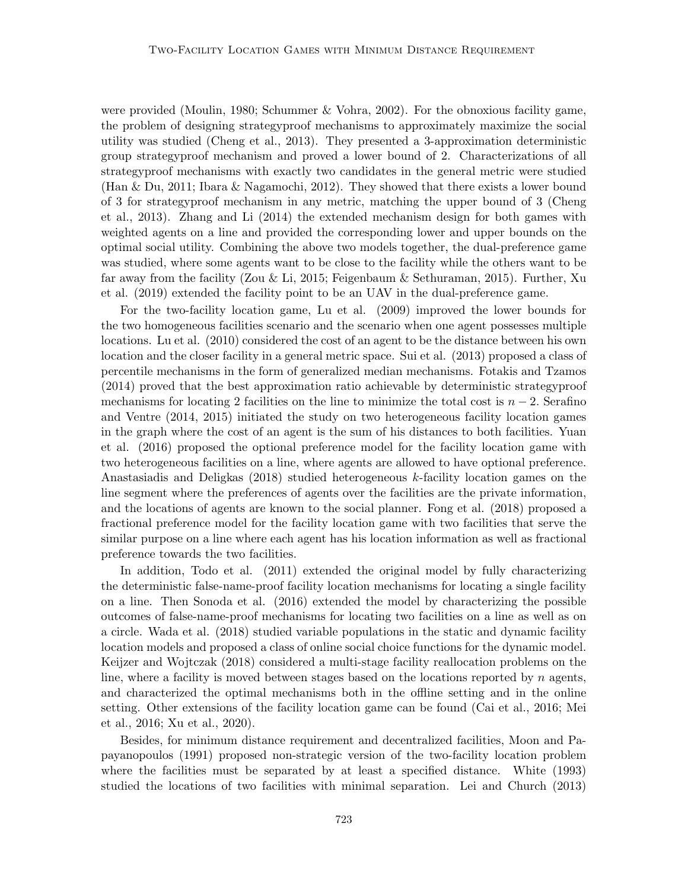were provided (Moulin, 1980; Schummer & Vohra, 2002). For the obnoxious facility game, the problem of designing strategyproof mechanisms to approximately maximize the social utility was studied (Cheng et al., 2013). They presented a 3-approximation deterministic group strategyproof mechanism and proved a lower bound of 2. Characterizations of all strategyproof mechanisms with exactly two candidates in the general metric were studied (Han & Du, 2011; Ibara & Nagamochi, 2012). They showed that there exists a lower bound of 3 for strategyproof mechanism in any metric, matching the upper bound of 3 (Cheng et al., 2013). Zhang and Li (2014) the extended mechanism design for both games with weighted agents on a line and provided the corresponding lower and upper bounds on the optimal social utility. Combining the above two models together, the dual-preference game was studied, where some agents want to be close to the facility while the others want to be far away from the facility (Zou & Li, 2015; Feigenbaum & Sethuraman, 2015). Further, Xu et al. (2019) extended the facility point to be an UAV in the dual-preference game.

For the two-facility location game, Lu et al. (2009) improved the lower bounds for the two homogeneous facilities scenario and the scenario when one agent possesses multiple locations. Lu et al. (2010) considered the cost of an agent to be the distance between his own location and the closer facility in a general metric space. Sui et al. (2013) proposed a class of percentile mechanisms in the form of generalized median mechanisms. Fotakis and Tzamos (2014) proved that the best approximation ratio achievable by deterministic strategyproof mechanisms for locating 2 facilities on the line to minimize the total cost is  $n-2$ . Serafino and Ventre (2014, 2015) initiated the study on two heterogeneous facility location games in the graph where the cost of an agent is the sum of his distances to both facilities. Yuan et al. (2016) proposed the optional preference model for the facility location game with two heterogeneous facilities on a line, where agents are allowed to have optional preference. Anastasiadis and Deligkas (2018) studied heterogeneous k-facility location games on the line segment where the preferences of agents over the facilities are the private information, and the locations of agents are known to the social planner. Fong et al. (2018) proposed a fractional preference model for the facility location game with two facilities that serve the similar purpose on a line where each agent has his location information as well as fractional preference towards the two facilities.

In addition, Todo et al. (2011) extended the original model by fully characterizing the deterministic false-name-proof facility location mechanisms for locating a single facility on a line. Then Sonoda et al. (2016) extended the model by characterizing the possible outcomes of false-name-proof mechanisms for locating two facilities on a line as well as on a circle. Wada et al. (2018) studied variable populations in the static and dynamic facility location models and proposed a class of online social choice functions for the dynamic model. Keijzer and Wojtczak (2018) considered a multi-stage facility reallocation problems on the line, where a facility is moved between stages based on the locations reported by n agents, and characterized the optimal mechanisms both in the offline setting and in the online setting. Other extensions of the facility location game can be found (Cai et al., 2016; Mei et al., 2016; Xu et al., 2020).

Besides, for minimum distance requirement and decentralized facilities, Moon and Papayanopoulos (1991) proposed non-strategic version of the two-facility location problem where the facilities must be separated by at least a specified distance. White (1993) studied the locations of two facilities with minimal separation. Lei and Church (2013)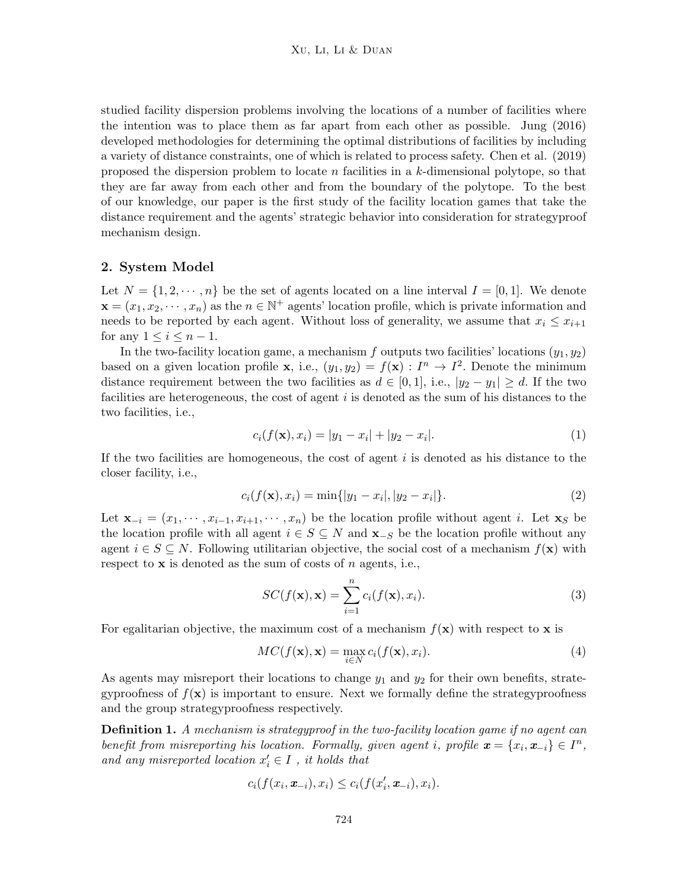studied facility dispersion problems involving the locations of a number of facilities where the intention was to place them as far apart from each other as possible. Jung (2016) developed methodologies for determining the optimal distributions of facilities by including a variety of distance constraints, one of which is related to process safety. Chen et al. (2019) proposed the dispersion problem to locate n facilities in a k-dimensional polytope, so that they are far away from each other and from the boundary of the polytope. To the best of our knowledge, our paper is the first study of the facility location games that take the distance requirement and the agents' strategic behavior into consideration for strategyproof mechanism design.

#### 2. System Model

Let  $N = \{1, 2, \dots, n\}$  be the set of agents located on a line interval  $I = [0, 1]$ . We denote  $\mathbf{x} = (x_1, x_2, \dots, x_n)$  as the  $n \in \mathbb{N}^+$  agents' location profile, which is private information and needs to be reported by each agent. Without loss of generality, we assume that  $x_i \leq x_{i+1}$ for any  $1 \leq i \leq n-1$ .

In the two-facility location game, a mechanism f outputs two facilities' locations  $(y_1, y_2)$ based on a given location profile **x**, i.e.,  $(y_1, y_2) = f(\mathbf{x}) : I^n \to I^2$ . Denote the minimum distance requirement between the two facilities as  $d \in [0,1]$ , i.e.,  $|y_2 - y_1| \ge d$ . If the two facilities are heterogeneous, the cost of agent  $i$  is denoted as the sum of his distances to the two facilities, i.e.,

$$
c_i(f(\mathbf{x}), x_i) = |y_1 - x_i| + |y_2 - x_i|.
$$
\n(1)

If the two facilities are homogeneous, the cost of agent  $i$  is denoted as his distance to the closer facility, i.e.,

$$
c_i(f(\mathbf{x}), x_i) = \min\{|y_1 - x_i|, |y_2 - x_i|\}.
$$
\n(2)

Let  $\mathbf{x}_{-i} = (x_1, \dots, x_{i-1}, x_{i+1}, \dots, x_n)$  be the location profile without agent i. Let  $\mathbf{x}_S$  be the location profile with all agent  $i \in S \subseteq N$  and  $\mathbf{x}_{-S}$  be the location profile without any agent  $i \in S \subseteq N$ . Following utilitarian objective, the social cost of a mechanism  $f(\mathbf{x})$  with respect to  $x$  is denoted as the sum of costs of n agents, i.e.,

$$
SC(f(\mathbf{x}), \mathbf{x}) = \sum_{i=1}^{n} c_i(f(\mathbf{x}), x_i).
$$
 (3)

For egalitarian objective, the maximum cost of a mechanism  $f(\mathbf{x})$  with respect to x is

$$
MC(f(\mathbf{x}), \mathbf{x}) = \max_{i \in N} c_i(f(\mathbf{x}), x_i).
$$
 (4)

As agents may misreport their locations to change  $y_1$  and  $y_2$  for their own benefits, strategyproofness of  $f(\mathbf{x})$  is important to ensure. Next we formally define the strategyproofness and the group strategyproofness respectively.

**Definition 1.** A mechanism is strategyproof in the two-facility location game if no agent can benefit from misreporting his location. Formally, given agent i, profile  $\mathbf{x} = \{x_i, \mathbf{x}_{-i}\} \in I^n$ , and any misreported location  $x'_i \in I$  , it holds that

$$
c_i(f(x_i, \boldsymbol{x}_{-i}), x_i) \leq c_i(f(x'_i, \boldsymbol{x}_{-i}), x_i).
$$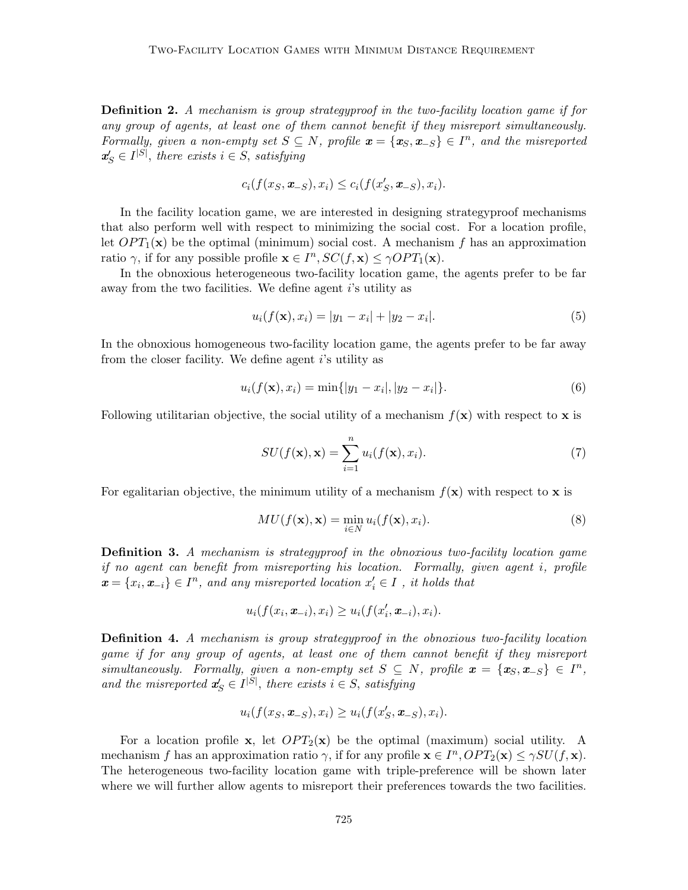Definition 2. A mechanism is group strategyproof in the two-facility location game if for any group of agents, at least one of them cannot benefit if they misreport simultaneously. Formally, given a non-empty set  $S \subseteq N$ , profile  $\mathbf{x} = \{x_S, \mathbf{x}_{-S}\} \in I^n$ , and the misreported  $\mathbf{x}_S' \in I^{|S|}$ , there exists  $i \in S$ , satisfying

$$
c_i(f(x_S, \boldsymbol{x}_{-S}), x_i) \leq c_i(f(x'_S, \boldsymbol{x}_{-S}), x_i).
$$

In the facility location game, we are interested in designing strategyproof mechanisms that also perform well with respect to minimizing the social cost. For a location profile, let  $OPT_1(\mathbf{x})$  be the optimal (minimum) social cost. A mechanism f has an approximation ratio  $\gamma$ , if for any possible profile  $\mathbf{x} \in I^n$ ,  $SC(f, \mathbf{x}) \le \gamma OPT_1(\mathbf{x})$ .

In the obnoxious heterogeneous two-facility location game, the agents prefer to be far away from the two facilities. We define agent *i*'s utility as

$$
u_i(f(\mathbf{x}), x_i) = |y_1 - x_i| + |y_2 - x_i|.
$$
\n(5)

In the obnoxious homogeneous two-facility location game, the agents prefer to be far away from the closer facility. We define agent i's utility as

$$
u_i(f(\mathbf{x}), x_i) = \min\{|y_1 - x_i|, |y_2 - x_i|\}.
$$
\n(6)

Following utilitarian objective, the social utility of a mechanism  $f(\mathbf{x})$  with respect to x is

$$
SU(f(\mathbf{x}), \mathbf{x}) = \sum_{i=1}^{n} u_i(f(\mathbf{x}), x_i).
$$
 (7)

For egalitarian objective, the minimum utility of a mechanism  $f(\mathbf{x})$  with respect to  $\mathbf{x}$  is

$$
MU(f(\mathbf{x}), \mathbf{x}) = \min_{i \in N} u_i(f(\mathbf{x}), x_i).
$$
\n(8)

**Definition 3.** A mechanism is strategyproof in the obnoxious two-facility location game if no agent can benefit from misreporting his location. Formally, given agent i, profile  $\boldsymbol{x} = \{x_i, \boldsymbol{x}_{-i}\} \in I^n$ , and any misreported location  $x'_i \in I$ , it holds that

$$
u_i(f(x_i, \boldsymbol{x}_{-i}), x_i) \geq u_i(f(x_i', \boldsymbol{x}_{-i}), x_i).
$$

Definition 4. A mechanism is group strategyproof in the obnoxious two-facility location game if for any group of agents, at least one of them cannot benefit if they misreport simultaneously. Formally, given a non-empty set  $S \subseteq N$ , profile  $\mathbf{x} = \{x_S, x_{-S}\} \in I^n$ , and the misreported  $x'_{S} \in I^{|S|}$ , there exists  $i \in S$ , satisfying

$$
u_i(f(x_S, \boldsymbol{x}_{-S}), x_i) \ge u_i(f(x'_S, \boldsymbol{x}_{-S}), x_i).
$$

For a location profile x, let  $OPT_2(x)$  be the optimal (maximum) social utility. A mechanism f has an approximation ratio  $\gamma$ , if for any profile  $\mathbf{x} \in I^n$ ,  $OPT_2(\mathbf{x}) \leq \gamma SU(f, \mathbf{x})$ . The heterogeneous two-facility location game with triple-preference will be shown later where we will further allow agents to misreport their preferences towards the two facilities.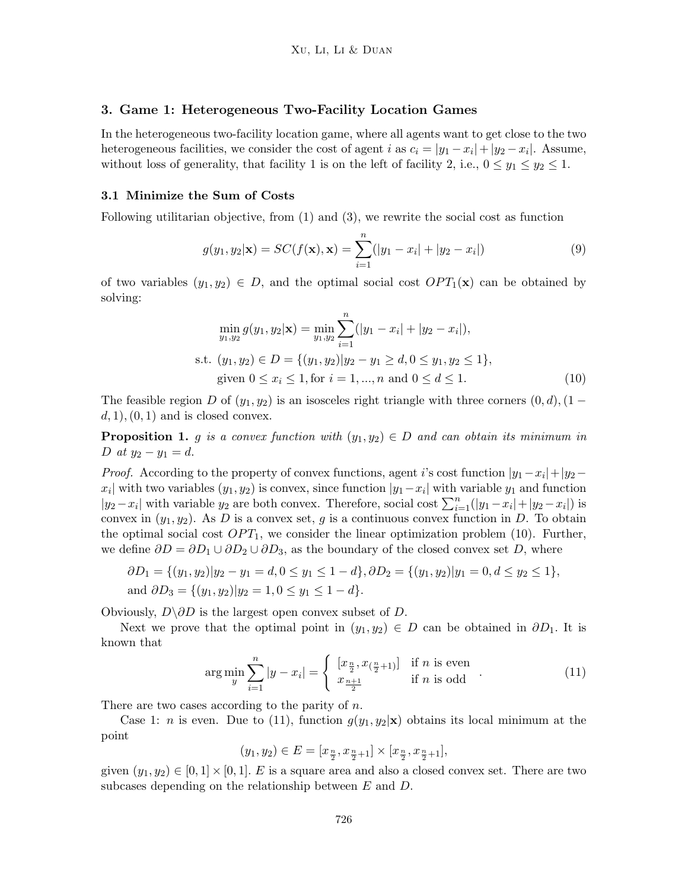### 3. Game 1: Heterogeneous Two-Facility Location Games

In the heterogeneous two-facility location game, where all agents want to get close to the two heterogeneous facilities, we consider the cost of agent i as  $c_i = |y_1 - x_i| + |y_2 - x_i|$ . Assume, without loss of generality, that facility 1 is on the left of facility 2, i.e.,  $0 \le y_1 \le y_2 \le 1$ .

#### 3.1 Minimize the Sum of Costs

Following utilitarian objective, from (1) and (3), we rewrite the social cost as function

$$
g(y_1, y_2|\mathbf{x}) = SC(f(\mathbf{x}), \mathbf{x}) = \sum_{i=1}^{n} (|y_1 - x_i| + |y_2 - x_i|)
$$
\n(9)

of two variables  $(y_1, y_2) \in D$ , and the optimal social cost  $OPT_1(\mathbf{x})$  can be obtained by solving:

$$
\min_{y_1, y_2} g(y_1, y_2 | \mathbf{x}) = \min_{y_1, y_2} \sum_{i=1}^n (|y_1 - x_i| + |y_2 - x_i|),
$$
  
s.t.  $(y_1, y_2) \in D = \{(y_1, y_2) | y_2 - y_1 \ge d, 0 \le y_1, y_2 \le 1\},$   
given  $0 \le x_i \le 1$ , for  $i = 1, ..., n$  and  $0 \le d \le 1$ . (10)

The feasible region D of  $(y_1, y_2)$  is an isosceles right triangle with three corners  $(0, d), (1 (d, 1), (0, 1)$  and is closed convex.

**Proposition 1.** g is a convex function with  $(y_1, y_2) \in D$  and can obtain its minimum in D at  $y_2 - y_1 = d$ .

*Proof.* According to the property of convex functions, agent i's cost function  $|y_1 - x_i| + |y_2 - y_i|$  $x_i$  with two variables  $(y_1, y_2)$  is convex, since function  $|y_1 - x_i|$  with variable  $y_1$  and function  $|y_2 - x_i|$  with variable  $y_2$  are both convex. Therefore, social cost  $\sum_{i=1}^{n} (|y_1 - x_i| + |y_2 - x_i|)$  is convex in  $(y_1, y_2)$ . As D is a convex set, g is a continuous convex function in D. To obtain the optimal social cost  $OPT_1$ , we consider the linear optimization problem (10). Further, we define  $\partial D = \partial D_1 \cup \partial D_2 \cup \partial D_3$ , as the boundary of the closed convex set D, where

$$
\partial D_1 = \{(y_1, y_2) | y_2 - y_1 = d, 0 \le y_1 \le 1 - d\}, \partial D_2 = \{(y_1, y_2) | y_1 = 0, d \le y_2 \le 1\},\
$$
  
and 
$$
\partial D_3 = \{(y_1, y_2) | y_2 = 1, 0 \le y_1 \le 1 - d\}.
$$

Obviously,  $D\setminus \partial D$  is the largest open convex subset of D.

Next we prove that the optimal point in  $(y_1, y_2) \in D$  can be obtained in  $\partial D_1$ . It is known that

$$
\arg\min_{y} \sum_{i=1}^{n} |y - x_i| = \begin{cases} [x_{\frac{n}{2}}, x_{(\frac{n}{2}+1)}] & \text{if } n \text{ is even} \\ x_{\frac{n+1}{2}} & \text{if } n \text{ is odd} \end{cases} . \tag{11}
$$

There are two cases according to the parity of  $n$ .

Case 1: *n* is even. Due to (11), function  $g(y_1, y_2|\mathbf{x})$  obtains its local minimum at the point

$$
(y_1, y_2) \in E = [x_{\frac{n}{2}}, x_{\frac{n}{2}+1}] \times [x_{\frac{n}{2}}, x_{\frac{n}{2}+1}],
$$

given  $(y_1, y_2) \in [0, 1] \times [0, 1]$ . E is a square area and also a closed convex set. There are two subcases depending on the relationship between E and D.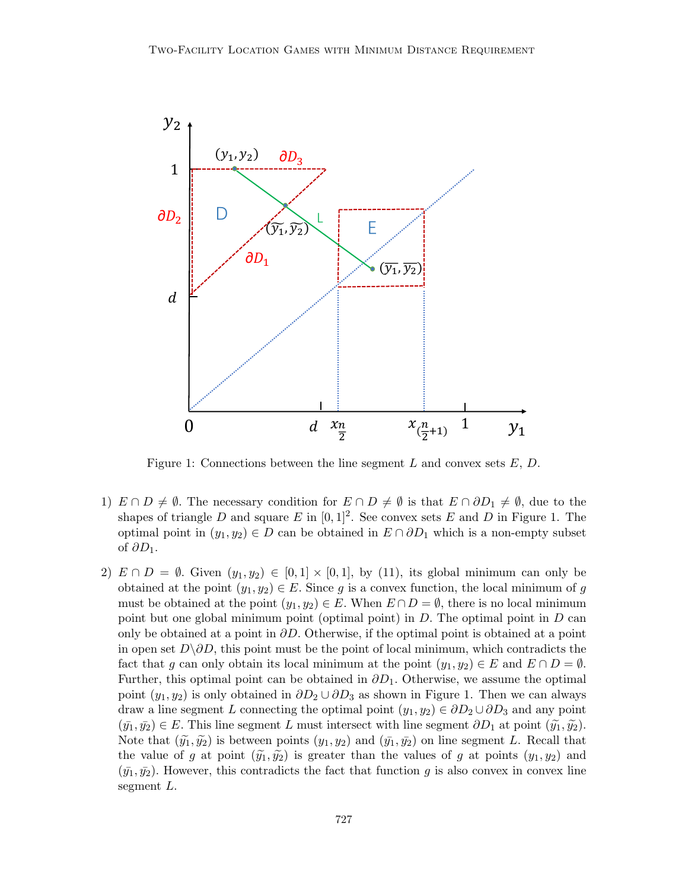

Figure 1: Connections between the line segment L and convex sets  $E, D$ .

- 1)  $E \cap D \neq \emptyset$ . The necessary condition for  $E \cap D \neq \emptyset$  is that  $E \cap \partial D_1 \neq \emptyset$ , due to the shapes of triangle D and square E in  $[0, 1]^2$ . See convex sets E and D in Figure 1. The optimal point in  $(y_1, y_2) \in D$  can be obtained in  $E \cap \partial D_1$  which is a non-empty subset of  $\partial D_1$ .
- 2)  $E \cap D = \emptyset$ . Given  $(y_1, y_2) \in [0, 1] \times [0, 1]$ , by (11), its global minimum can only be obtained at the point  $(y_1, y_2) \in E$ . Since g is a convex function, the local minimum of g must be obtained at the point  $(y_1, y_2) \in E$ . When  $E \cap D = \emptyset$ , there is no local minimum point but one global minimum point (optimal point) in  $D$ . The optimal point in  $D$  can only be obtained at a point in  $\partial D$ . Otherwise, if the optimal point is obtained at a point in open set  $D\setminus \partial D$ , this point must be the point of local minimum, which contradicts the fact that g can only obtain its local minimum at the point  $(y_1, y_2) \in E$  and  $E \cap D = \emptyset$ . Further, this optimal point can be obtained in  $\partial D_1$ . Otherwise, we assume the optimal point  $(y_1, y_2)$  is only obtained in  $\partial D_2 \cup \partial D_3$  as shown in Figure 1. Then we can always draw a line segment L connecting the optimal point  $(y_1, y_2) \in \partial D_2 \cup \partial D_3$  and any point  $(\bar{y_1}, \bar{y_2}) \in E$ . This line segment L must intersect with line segment  $\partial D_1$  at point  $(\tilde{y_1}, \tilde{y_2})$ . Note that  $(\tilde{y}_1, \tilde{y}_2)$  is between points  $(y_1, y_2)$  and  $(\bar{y}_1, \bar{y}_2)$  on line segment L. Recall that the value of g at point  $(\widetilde{y_1}, \widetilde{y_2})$  is greater than the values of g at points  $(y_1, y_2)$  and  $(\bar{y}_1, \bar{y}_2)$ . However, this contradicts the fact that function g is also convex in convex line segment L.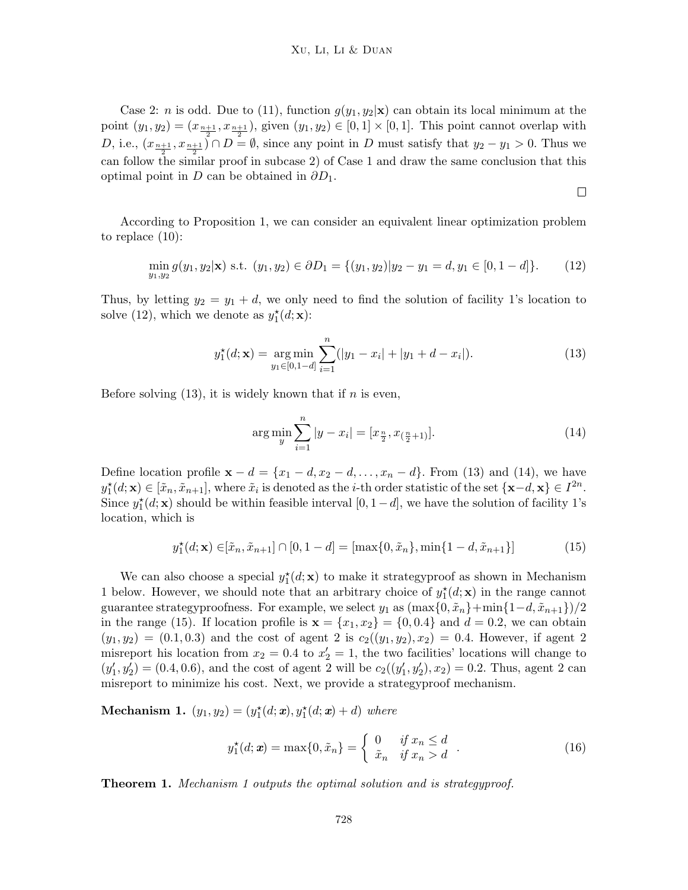Case 2: *n* is odd. Due to (11), function  $g(y_1, y_2|\mathbf{x})$  can obtain its local minimum at the point  $(y_1, y_2) = (x_{\frac{n+1}{2}}, x_{\frac{n+1}{2}})$ , given  $(y_1, y_2) \in [0, 1] \times [0, 1]$ . This point cannot overlap with D, i.e.,  $(x_{\frac{n+1}{2}}, x_{\frac{n+1}{2}}) \cap D = \emptyset$ , since any point in D must satisfy that  $y_2 - y_1 > 0$ . Thus we can follow the similar proof in subcase 2) of Case 1 and draw the same conclusion that this optimal point in D can be obtained in  $\partial D_1$ .

 $\Box$ 

According to Proposition 1, we can consider an equivalent linear optimization problem to replace (10):

$$
\min_{y_1, y_2} g(y_1, y_2 | \mathbf{x}) \text{ s.t. } (y_1, y_2) \in \partial D_1 = \{ (y_1, y_2) | y_2 - y_1 = d, y_1 \in [0, 1 - d] \}. \tag{12}
$$

Thus, by letting  $y_2 = y_1 + d$ , we only need to find the solution of facility 1's location to solve (12), which we denote as  $y_1^*(d; \mathbf{x})$ :

$$
y_1^*(d; \mathbf{x}) = \underset{y_1 \in [0, 1-d]}{\arg \min} \sum_{i=1}^n (|y_1 - x_i| + |y_1 + d - x_i|). \tag{13}
$$

Before solving  $(13)$ , it is widely known that if *n* is even,

$$
\arg\min_{y} \sum_{i=1}^{n} |y - x_i| = [x_{\frac{n}{2}}, x_{(\frac{n}{2}+1)}]. \tag{14}
$$

Define location profile  $\mathbf{x} - d = \{x_1 - d, x_2 - d, \dots, x_n - d\}$ . From (13) and (14), we have  $y_1^{\star}(d; \mathbf{x}) \in [\tilde{x}_n, \tilde{x}_{n+1}],$  where  $\tilde{x}_i$  is denoted as the *i*-th order statistic of the set  $\{\mathbf{x}-d, \mathbf{x}\}\in I^{2n}$ . Since  $y_1^*(d; \mathbf{x})$  should be within feasible interval  $[0, 1-d]$ , we have the solution of facility 1's location, which is

$$
y_1^*(d; \mathbf{x}) \in [\tilde{x}_n, \tilde{x}_{n+1}] \cap [0, 1 - d] = [\max\{0, \tilde{x}_n\}, \min\{1 - d, \tilde{x}_{n+1}\}]
$$
(15)

We can also choose a special  $y_1^*(d; \mathbf{x})$  to make it strategyproof as shown in Mechanism 1 below. However, we should note that an arbitrary choice of  $y_1^*(d; \mathbf{x})$  in the range cannot guarantee strategyproofness. For example, we select  $y_1$  as  $(\max\{0, \tilde{x}_n\} + \min\{1-d, \tilde{x}_{n+1}\})/2$ in the range (15). If location profile is  $\mathbf{x} = \{x_1, x_2\} = \{0, 0.4\}$  and  $d = 0.2$ , we can obtain  $(y_1, y_2) = (0.1, 0.3)$  and the cost of agent 2 is  $c_2((y_1, y_2), x_2) = 0.4$ . However, if agent 2 misreport his location from  $x_2 = 0.4$  to  $x_2' = 1$ , the two facilities' locations will change to  $(y'_1, y'_2) = (0.4, 0.6)$ , and the cost of agent 2 will be  $c_2((y'_1, y'_2), x_2) = 0.2$ . Thus, agent 2 can misreport to minimize his cost. Next, we provide a strategyproof mechanism.

**Mechanism 1.**  $(y_1, y_2) = (y_1^*(d; \mathbf{x}), y_1^*(d; \mathbf{x}) + d)$  where

$$
y_1^*(d; \mathbf{x}) = \max\{0, \tilde{x}_n\} = \begin{cases} 0 & \text{if } x_n \le d \\ \tilde{x}_n & \text{if } x_n > d \end{cases} . \tag{16}
$$

Theorem 1. Mechanism 1 outputs the optimal solution and is strategyproof.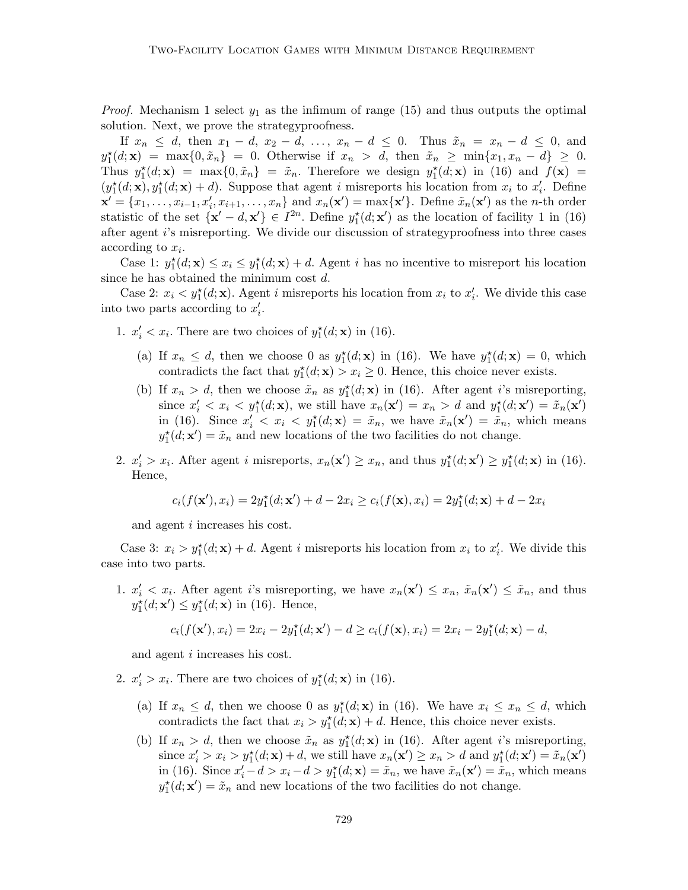*Proof.* Mechanism 1 select  $y_1$  as the infimum of range (15) and thus outputs the optimal solution. Next, we prove the strategyproofness.

If  $x_n \leq d$ , then  $x_1 - d$ ,  $x_2 - d$ , ...,  $x_n - d \leq 0$ . Thus  $\tilde{x}_n = x_n - d \leq 0$ , and  $y_1^{\star}(d; \mathbf{x}) = \max\{0, \tilde{x}_n\} = 0.$  Otherwise if  $x_n > d$ , then  $\tilde{x}_n \ge \min\{x_1, x_n - d\} \ge 0.$ Thus  $y_1^*(d; \mathbf{x}) = \max\{0, \tilde{x}_n\} = \tilde{x}_n$ . Therefore we design  $y_1^*(d; \mathbf{x})$  in (16) and  $f(\mathbf{x}) =$  $(y_1^{\star}(d; \mathbf{x}), y_1^{\star}(d; \mathbf{x}) + d)$ . Suppose that agent i misreports his location from  $x_i$  to  $x'_i$ . Define  $\mathbf{x}' = \{x_1, \ldots, x_{i-1}, x'_i, x_{i+1}, \ldots, x_n\}$  and  $x_n(\mathbf{x}') = \max\{\mathbf{x}'\}$ . Define  $\tilde{x}_n(\mathbf{x}')$  as the *n*-th order statistic of the set  $\{x' - d, x'\} \in I^{2n}$ . Define  $y_1^*(d; x')$  as the location of facility 1 in (16) after agent i's misreporting. We divide our discussion of strategyproofness into three cases according to  $x_i$ .

Case 1:  $y_1^*(d; \mathbf{x}) \le x_i \le y_1^*(d; \mathbf{x}) + d$ . Agent *i* has no incentive to misreport his location since he has obtained the minimum cost d.

Case 2:  $x_i < y_1^*(d; \mathbf{x})$ . Agent *i* misreports his location from  $x_i$  to  $x'_i$ . We divide this case into two parts according to  $x_i'$ .

- 1.  $x'_i < x_i$ . There are two choices of  $y_1^*(d; \mathbf{x})$  in (16).
	- (a) If  $x_n \leq d$ , then we choose 0 as  $y_1^*(d; \mathbf{x})$  in (16). We have  $y_1^*(d; \mathbf{x}) = 0$ , which contradicts the fact that  $y_1^*(d; \mathbf{x}) > x_i \geq 0$ . Hence, this choice never exists.
	- (b) If  $x_n > d$ , then we choose  $\tilde{x}_n$  as  $y_1^*(d; \mathbf{x})$  in (16). After agent *i*'s misreporting, since  $x'_i < x_i < y_1^*(d; \mathbf{x})$ , we still have  $x_n(\mathbf{x}') = x_n > d$  and  $y_1^*(d; \mathbf{x}') = \tilde{x}_n(\mathbf{x}')$ in (16). Since  $x'_i < x_i < y_1^*(d; \mathbf{x}) = \tilde{x}_n$ , we have  $\tilde{x}_n(\mathbf{x}') = \tilde{x}_n$ , which means  $y_1^{\star}(d; \mathbf{x}') = \tilde{x}_n$  and new locations of the two facilities do not change.
- 2.  $x'_i > x_i$ . After agent *i* misreports,  $x_n(\mathbf{x}') \ge x_n$ , and thus  $y_1^*(d; \mathbf{x}') \ge y_1^*(d; \mathbf{x})$  in (16). Hence,

$$
c_i(f(\mathbf{x}'), x_i) = 2y_1^*(d; \mathbf{x}') + d - 2x_i \ge c_i(f(\mathbf{x}), x_i) = 2y_1^*(d; \mathbf{x}) + d - 2x_i
$$

and agent i increases his cost.

Case 3:  $x_i > y_1^*(d; \mathbf{x}) + d$ . Agent *i* misreports his location from  $x_i$  to  $x'_i$ . We divide this case into two parts.

1.  $x'_i < x_i$ . After agent i's misreporting, we have  $x_n(\mathbf{x}') \leq x_n$ ,  $\tilde{x}_n(\mathbf{x}') \leq \tilde{x}_n$ , and thus  $y_1^{\star}(d; \mathbf{x}') \leq y_1^{\star}(d; \mathbf{x})$  in (16). Hence,

$$
c_i(f(\mathbf{x}'), x_i) = 2x_i - 2y_1^{\star}(d; \mathbf{x}') - d \ge c_i(f(\mathbf{x}), x_i) = 2x_i - 2y_1^{\star}(d; \mathbf{x}) - d,
$$

and agent i increases his cost.

- 2.  $x'_i > x_i$ . There are two choices of  $y_1^*(d; \mathbf{x})$  in (16).
	- (a) If  $x_n \leq d$ , then we choose 0 as  $y_1^*(d; \mathbf{x})$  in (16). We have  $x_i \leq x_n \leq d$ , which contradicts the fact that  $x_i > y_1^*(d; \mathbf{x}) + d$ . Hence, this choice never exists.
	- (b) If  $x_n > d$ , then we choose  $\tilde{x}_n$  as  $y_1^*(d; \mathbf{x})$  in (16). After agent *i*'s misreporting, since  $x'_i > x_i > y_1^*(d; \mathbf{x}) + d$ , we still have  $x_n(\mathbf{x}') \ge x_n > d$  and  $y_1^*(d; \mathbf{x}') = \tilde{x}_n(\mathbf{x}')$ in (16). Since  $x'_i - d > x_i - d > y_1^*(d; \mathbf{x}) = \tilde{x}_n$ , we have  $\tilde{x}_n(\mathbf{x}') = \tilde{x}_n$ , which means  $y_1^{\star}(d; \mathbf{x}') = \tilde{x}_n$  and new locations of the two facilities do not change.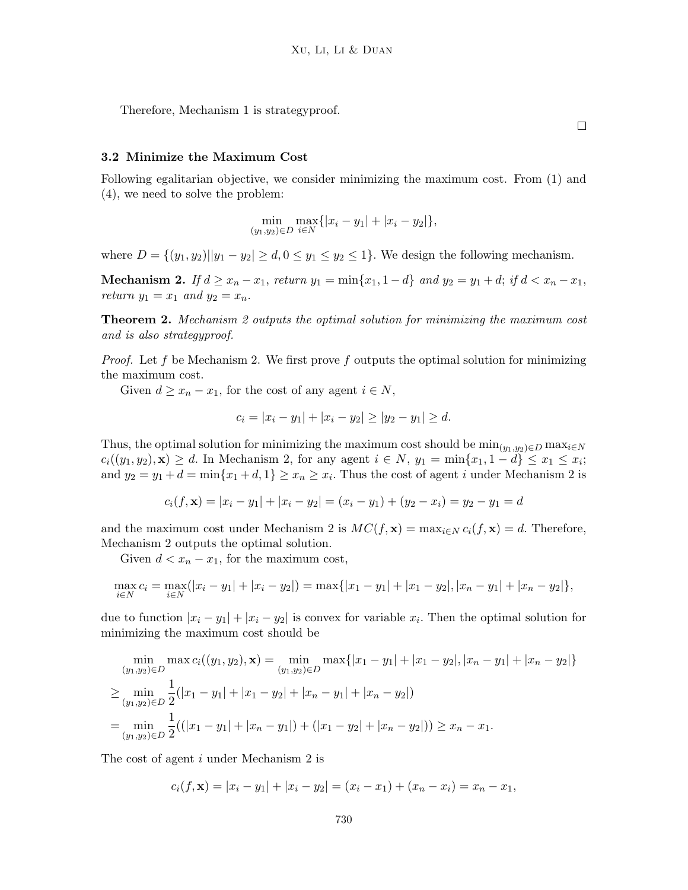Therefore, Mechanism 1 is strategyproof.

#### 3.2 Minimize the Maximum Cost

Following egalitarian objective, we consider minimizing the maximum cost. From (1) and (4), we need to solve the problem:

$$
\min_{(y_1, y_2) \in D} \max_{i \in N} \{ |x_i - y_1| + |x_i - y_2| \},\
$$

where  $D = \{(y_1, y_2) | |y_1 - y_2| \ge d, 0 \le y_1 \le y_2 \le 1\}$ . We design the following mechanism.

Mechanism 2. If  $d \ge x_n - x_1$ , return  $y_1 = \min\{x_1, 1 - d\}$  and  $y_2 = y_1 + d$ ; if  $d < x_n - x_1$ , return  $y_1 = x_1$  and  $y_2 = x_n$ .

**Theorem 2.** Mechanism 2 outputs the optimal solution for minimizing the maximum cost and is also strategyproof.

*Proof.* Let f be Mechanism 2. We first prove f outputs the optimal solution for minimizing the maximum cost.

Given  $d \geq x_n - x_1$ , for the cost of any agent  $i \in N$ ,

$$
c_i = |x_i - y_1| + |x_i - y_2| \ge |y_2 - y_1| \ge d.
$$

Thus, the optimal solution for minimizing the maximum cost should be  $\min_{(y_1,y_2)\in D} \max_{i\in N}$  $c_i((y_1, y_2), \mathbf{x}) \geq d$ . In Mechanism 2, for any agent  $i \in N$ ,  $y_1 = \min\{x_1, 1 - d\} \leq x_1 \leq x_i$ ; and  $y_2 = y_1 + d = \min\{x_1 + d, 1\} \ge x_n \ge x_i$ . Thus the cost of agent *i* under Mechanism 2 is

$$
c_i(f, \mathbf{x}) = |x_i - y_1| + |x_i - y_2| = (x_i - y_1) + (y_2 - x_i) = y_2 - y_1 = d
$$

and the maximum cost under Mechanism 2 is  $MC(f, x) = \max_{i \in N} c_i(f, x) = d$ . Therefore, Mechanism 2 outputs the optimal solution.

Given  $d < x_n - x_1$ , for the maximum cost,

$$
\max_{i \in N} c_i = \max_{i \in N} (|x_i - y_1| + |x_i - y_2|) = \max\{|x_1 - y_1| + |x_1 - y_2|, |x_n - y_1| + |x_n - y_2|\},\
$$

due to function  $|x_i - y_1| + |x_i - y_2|$  is convex for variable  $x_i$ . Then the optimal solution for minimizing the maximum cost should be

$$
\min_{(y_1, y_2) \in D} \max c_i((y_1, y_2), \mathbf{x}) = \min_{(y_1, y_2) \in D} \max\{|x_1 - y_1| + |x_1 - y_2|, |x_n - y_1| + |x_n - y_2|\}
$$
  
\n
$$
\geq \min_{(y_1, y_2) \in D} \frac{1}{2} (|x_1 - y_1| + |x_1 - y_2| + |x_n - y_1| + |x_n - y_2|)
$$
  
\n
$$
= \min_{(y_1, y_2) \in D} \frac{1}{2} ((|x_1 - y_1| + |x_n - y_1|) + (|x_1 - y_2| + |x_n - y_2|)) \geq x_n - x_1.
$$

The cost of agent i under Mechanism 2 is

$$
c_i(f, \mathbf{x}) = |x_i - y_1| + |x_i - y_2| = (x_i - x_1) + (x_n - x_i) = x_n - x_1,
$$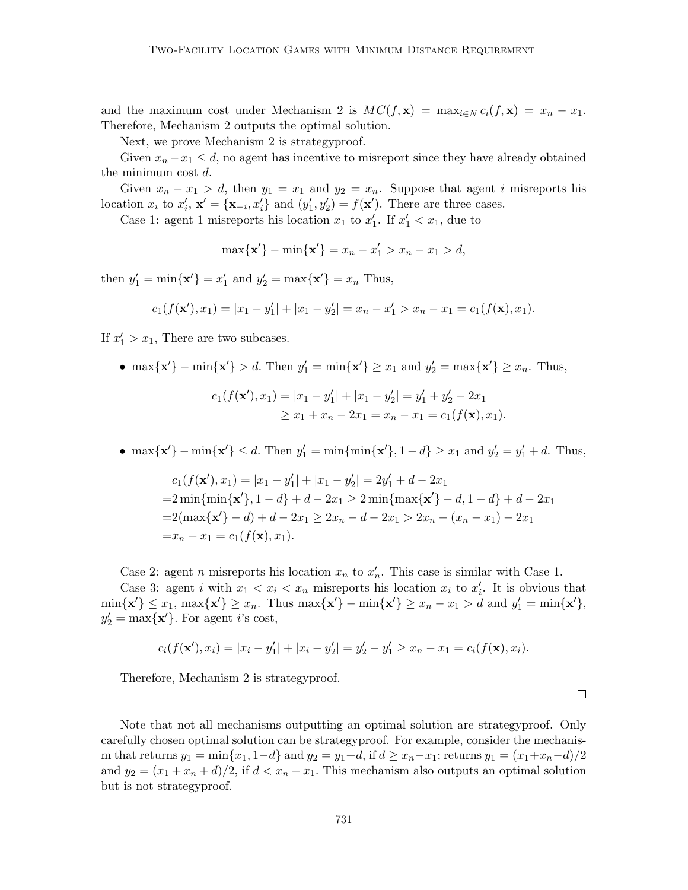and the maximum cost under Mechanism 2 is  $MC(f, x) = \max_{i \in N} c_i(f, x) = x_n - x_1$ . Therefore, Mechanism 2 outputs the optimal solution.

Next, we prove Mechanism 2 is strategyproof.

Given  $x_n - x_1 \leq d$ , no agent has incentive to misreport since they have already obtained the minimum cost d.

Given  $x_n - x_1 > d$ , then  $y_1 = x_1$  and  $y_2 = x_n$ . Suppose that agent i misreports his location  $x_i$  to  $x'_i$ ,  $\mathbf{x}' = {\mathbf{x}_{-i}, x'_i}$  and  $(y'_1, y'_2) = f(\mathbf{x}')$ . There are three cases.

Case 1: agent 1 misreports his location  $x_1$  to  $x'_1$ . If  $x'_1 < x_1$ , due to

 $\max\{\mathbf{x}'\} - \min\{\mathbf{x}'\} = x_n - x'_1 > x_n - x_1 > d,$ 

then  $y'_1 = \min\{\mathbf{x}'\} = x'_1$  and  $y'_2 = \max\{\mathbf{x}'\} = x_n$  Thus,

$$
c_1(f(\mathbf{x}'), x_1) = |x_1 - y_1'| + |x_1 - y_2'| = x_n - x_1' > x_n - x_1 = c_1(f(\mathbf{x}), x_1).
$$

If  $x'_1 > x_1$ , There are two subcases.

• max{ $\mathbf{x}'$ } – min{ $\mathbf{x}'$ } > d. Then  $y'_1 = \min\{\mathbf{x}'\} \ge x_1$  and  $y'_2 = \max\{\mathbf{x}'\} \ge x_n$ . Thus,

$$
c_1(f(\mathbf{x}'), x_1) = |x_1 - y_1'| + |x_1 - y_2'| = y_1' + y_2' - 2x_1
$$
  
\n
$$
\geq x_1 + x_n - 2x_1 = x_n - x_1 = c_1(f(\mathbf{x}), x_1).
$$

• max{ $\mathbf{x}'$ } – min{ $\mathbf{x}'$ }  $\leq d$ . Then  $y'_1 = \min\{\min\{\mathbf{x}'\}, 1 - d\} \geq x_1$  and  $y'_2 = y'_1 + d$ . Thus,

$$
c_1(f(\mathbf{x}'), x_1) = |x_1 - y_1'| + |x_1 - y_2'| = 2y_1' + d - 2x_1
$$
  
=2 min{min{ $\mathbf{x}'}$ , 1 - d} + d - 2x<sub>1</sub>   
=2 min{max{ $\mathbf{x}'$ } - d, 1 - d} + d - 2x\_1  
=2(max{ $\mathbf{x}'$ } - d) + d - 2x\_1   
= 2x<sub>n</sub> - d - 2x\_1 > 2x<sub>n</sub> - (x<sub>n</sub> - x<sub>1</sub>) - 2x\_1  
=x<sub>n</sub> - x<sub>1</sub> = c<sub>1</sub>(f(\mathbf{x}), x<sub>1</sub>).

Case 2: agent *n* misreports his location  $x_n$  to  $x'_n$ . This case is similar with Case 1.

Case 3: agent *i* with  $x_1 < x_i < x_n$  misreports his location  $x_i$  to  $x'_i$ . It is obvious that  $\min\{\mathbf{x}'\} \leq x_1$ ,  $\max\{\mathbf{x}'\} \geq x_n$ . Thus  $\max\{\mathbf{x}'\} - \min\{\mathbf{x}'\} \geq x_n - x_1 > d$  and  $y'_1 = \min\{\mathbf{x}'\}$ ,  $y_2' = \max\{\mathbf{x}'\}$ . For agent *i*'s cost,

$$
c_i(f(\mathbf{x}'), x_i) = |x_i - y_1'| + |x_i - y_2'| = y_2' - y_1' \ge x_n - x_1 = c_i(f(\mathbf{x}), x_i).
$$

Therefore, Mechanism 2 is strategyproof.

Note that not all mechanisms outputting an optimal solution are strategyproof. Only carefully chosen optimal solution can be strategyproof. For example, consider the mechanism that returns  $y_1 = \min\{x_1, 1-d\}$  and  $y_2 = y_1+d$ , if  $d \ge x_n-x_1$ ; returns  $y_1 = (x_1+x_n-d)/2$ and  $y_2 = (x_1 + x_n + d)/2$ , if  $d < x_n - x_1$ . This mechanism also outputs an optimal solution but is not strategyproof.

 $\Box$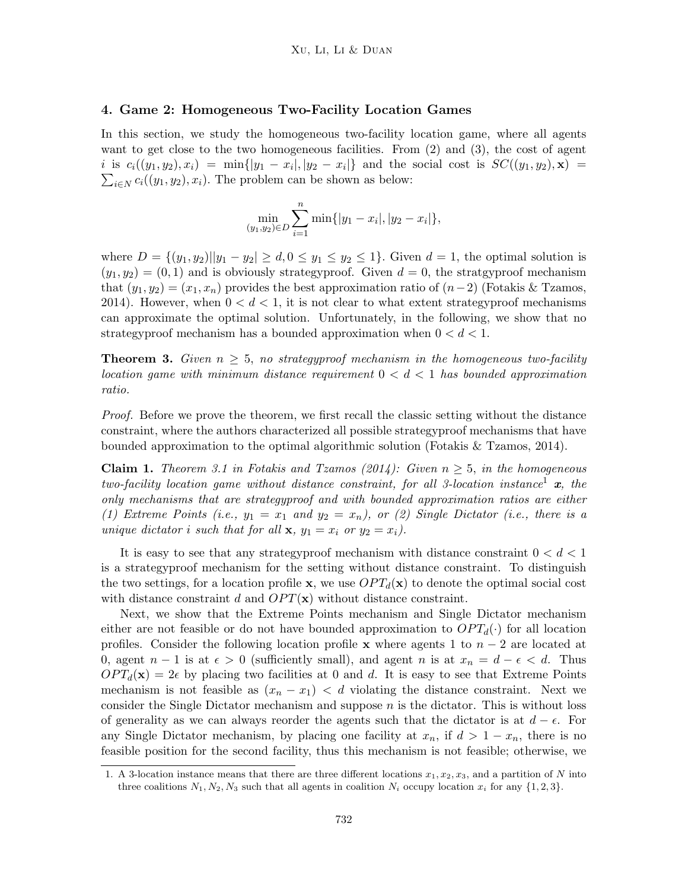#### 4. Game 2: Homogeneous Two-Facility Location Games

In this section, we study the homogeneous two-facility location game, where all agents want to get close to the two homogeneous facilities. From (2) and (3), the cost of agent  $i$  is  $c_i((y_1, y_2), x_i) = \min\{|y_1 - x_i|, |y_2 - x_i|\}\$  and the social cost is  $SC((y_1, y_2), \mathbf{x}) =$  $\sum_{i\in\mathbb{N}} c_i((y_1, y_2), x_i)$ . The problem can be shown as below:

$$
\min_{(y_1, y_2)\in D} \sum_{i=1}^n \min\{|y_1 - x_i|, |y_2 - x_i|\},\
$$

where  $D = \{(y_1, y_2) | |y_1 - y_2| \ge d, 0 \le y_1 \le y_2 \le 1\}$ . Given  $d = 1$ , the optimal solution is  $(y_1, y_2) = (0, 1)$  and is obviously strategyproof. Given  $d = 0$ , the stratgyproof mechanism that  $(y_1, y_2) = (x_1, x_n)$  provides the best approximation ratio of  $(n-2)$  (Fotakis & Tzamos, 2014). However, when  $0 < d < 1$ , it is not clear to what extent strategyproof mechanisms can approximate the optimal solution. Unfortunately, in the following, we show that no strategyproof mechanism has a bounded approximation when  $0 < d < 1$ .

**Theorem 3.** Given  $n \geq 5$ , no strategyproof mechanism in the homogeneous two-facility location game with minimum distance requirement  $0 < d < 1$  has bounded approximation ratio.

Proof. Before we prove the theorem, we first recall the classic setting without the distance constraint, where the authors characterized all possible strategyproof mechanisms that have bounded approximation to the optimal algorithmic solution (Fotakis & Tzamos, 2014).

**Claim 1.** Theorem 3.1 in Fotakis and Tzamos (2014): Given  $n \geq 5$ , in the homogeneous two-facility location game without distance constraint, for all 3-location instance<sup>1</sup>  $x$ , the only mechanisms that are strategyproof and with bounded approximation ratios are either (1) Extreme Points (i.e.,  $y_1 = x_1$  and  $y_2 = x_n$ ), or (2) Single Dictator (i.e., there is a unique dictator i such that for all  $x, y_1 = x_i$  or  $y_2 = x_i$ ).

It is easy to see that any strategyproof mechanism with distance constraint  $0 < d < 1$ is a strategyproof mechanism for the setting without distance constraint. To distinguish the two settings, for a location profile **x**, we use  $OPT_d(\mathbf{x})$  to denote the optimal social cost with distance constraint d and  $OPT(x)$  without distance constraint.

Next, we show that the Extreme Points mechanism and Single Dictator mechanism either are not feasible or do not have bounded approximation to  $OPT_d(\cdot)$  for all location profiles. Consider the following location profile x where agents 1 to  $n-2$  are located at 0, agent  $n-1$  is at  $\epsilon > 0$  (sufficiently small), and agent n is at  $x_n = d - \epsilon < d$ . Thus  $OPT_d(\mathbf{x}) = 2\epsilon$  by placing two facilities at 0 and d. It is easy to see that Extreme Points mechanism is not feasible as  $(x_n - x_1) < d$  violating the distance constraint. Next we consider the Single Dictator mechanism and suppose  $n$  is the dictator. This is without loss of generality as we can always reorder the agents such that the dictator is at  $d - \epsilon$ . For any Single Dictator mechanism, by placing one facility at  $x_n$ , if  $d > 1 - x_n$ , there is no feasible position for the second facility, thus this mechanism is not feasible; otherwise, we

<sup>1.</sup> A 3-location instance means that there are three different locations  $x_1, x_2, x_3$ , and a partition of N into three coalitions  $N_1, N_2, N_3$  such that all agents in coalition  $N_i$  occupy location  $x_i$  for any  $\{1, 2, 3\}$ .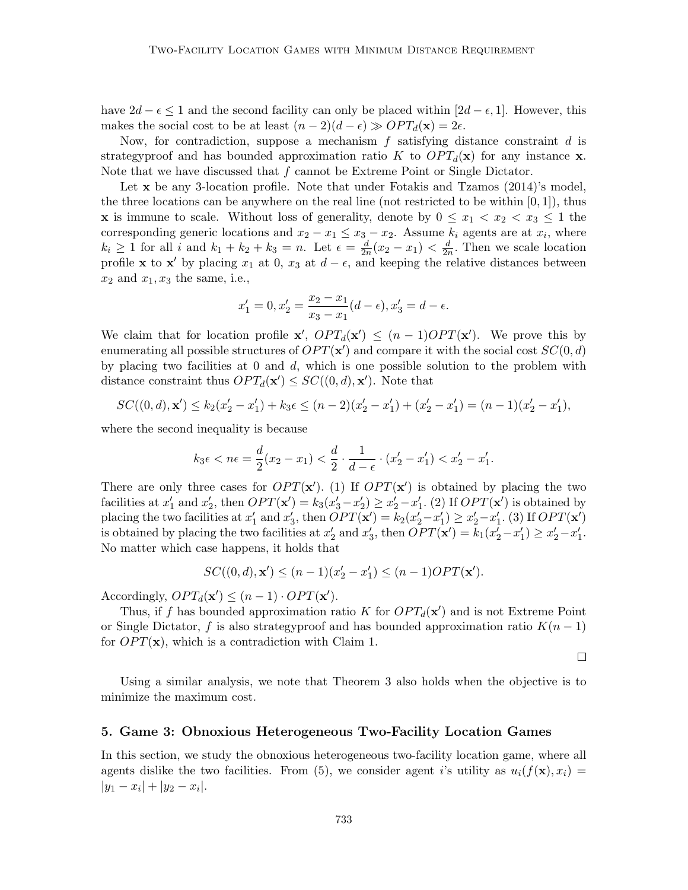have  $2d - \epsilon \leq 1$  and the second facility can only be placed within  $[2d - \epsilon, 1]$ . However, this makes the social cost to be at least  $(n-2)(d-\epsilon) \gg OPT_d(\mathbf{x}) = 2\epsilon$ .

Now, for contradiction, suppose a mechanism  $f$  satisfying distance constraint  $d$  is strategyproof and has bounded approximation ratio K to  $OPT_d(\mathbf{x})$  for any instance **x**. Note that we have discussed that  $f$  cannot be Extreme Point or Single Dictator.

Let x be any 3-location profile. Note that under Fotakis and Tzamos (2014)'s model, the three locations can be anywhere on the real line (not restricted to be within  $[0,1]$ ), thus **x** is immune to scale. Without loss of generality, denote by  $0 \leq x_1 < x_2 < x_3 \leq 1$  the corresponding generic locations and  $x_2 - x_1 \le x_3 - x_2$ . Assume  $k_i$  agents are at  $x_i$ , where  $k_i \geq 1$  for all i and  $k_1 + k_2 + k_3 = n$ . Let  $\epsilon = \frac{d}{2i}$  $\frac{d}{2n}(x_2 - x_1) < \frac{d}{2n}$  $\frac{d}{2n}$ . Then we scale location profile **x** to **x'** by placing  $x_1$  at 0,  $x_3$  at  $d - \epsilon$ , and keeping the relative distances between  $x_2$  and  $x_1, x_3$  the same, i.e.,

$$
x'_1 = 0, x'_2 = \frac{x_2 - x_1}{x_3 - x_1} (d - \epsilon), x'_3 = d - \epsilon.
$$

We claim that for location profile  $\mathbf{x}'$ ,  $OPT_d(\mathbf{x}') \leq (n-1)OPT(\mathbf{x}')$ . We prove this by enumerating all possible structures of  $OPT(\mathbf{x}')$  and compare it with the social cost  $SC(0, d)$ by placing two facilities at  $0$  and  $d$ , which is one possible solution to the problem with distance constraint thus  $OPT_d(\mathbf{x}') \leq SC((0, d), \mathbf{x}')$ . Note that

$$
SC((0, d), \mathbf{x}') \le k_2(x_2' - x_1') + k_3 \epsilon \le (n - 2)(x_2' - x_1') + (x_2' - x_1') = (n - 1)(x_2' - x_1'),
$$

where the second inequality is because

$$
k_3 \epsilon < n \epsilon = \frac{d}{2}(x_2 - x_1) < \frac{d}{2} \cdot \frac{1}{d - \epsilon} \cdot (x_2' - x_1') < x_2' - x_1'.
$$

There are only three cases for  $OPT(\mathbf{x}')$ . (1) If  $OPT(\mathbf{x}')$  is obtained by placing the two facilities at  $x'_1$  and  $x'_2$ , then  $OPT(\mathbf{x}') = k_3(x'_3 - x'_2) \ge x'_2 - x'_1$ . (2) If  $OPT(\mathbf{x}')$  is obtained by placing the two facilities at  $x'_1$  and  $x'_3$ , then  $OPT(\mathbf{x}') = k_2(x'_2 - x'_1) \ge x'_2 - x'_1$ . (3) If  $OPT(\mathbf{x}')$ is obtained by placing the two facilities at  $x'_2$  and  $x'_3$ , then  $OPT(\mathbf{x}') = k_1(x'_2 - x'_1) \ge x'_2 - x'_1$ . No matter which case happens, it holds that

$$
SC((0, d), \mathbf{x}') \le (n - 1)(x_2' - x_1') \le (n - 1)OPT(\mathbf{x}').
$$

Accordingly,  $OPT_d(\mathbf{x}') \leq (n-1) \cdot OPT(\mathbf{x}')$ .

Thus, if f has bounded approximation ratio K for  $OPT_d(\mathbf{x}')$  and is not Extreme Point or Single Dictator, f is also strategyproof and has bounded approximation ratio  $K(n-1)$ for  $OPT(\mathbf{x})$ , which is a contradiction with Claim 1.

 $\Box$ 

Using a similar analysis, we note that Theorem 3 also holds when the objective is to minimize the maximum cost.

#### 5. Game 3: Obnoxious Heterogeneous Two-Facility Location Games

In this section, we study the obnoxious heterogeneous two-facility location game, where all agents dislike the two facilities. From (5), we consider agent i's utility as  $u_i(f(\mathbf{x}), x_i) =$  $|y_1 - x_i| + |y_2 - x_i|.$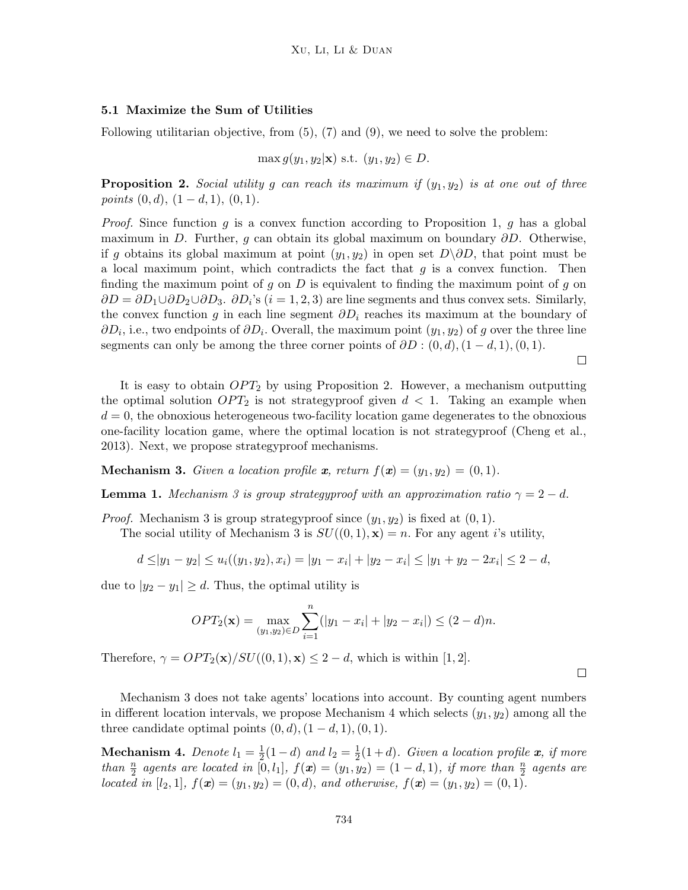### 5.1 Maximize the Sum of Utilities

Following utilitarian objective, from  $(5)$ ,  $(7)$  and  $(9)$ , we need to solve the problem:

$$
\max g(y_1, y_2 | \mathbf{x}) \text{ s.t. } (y_1, y_2) \in D.
$$

**Proposition 2.** Social utility g can reach its maximum if  $(y_1, y_2)$  is at one out of three points  $(0, d), (1 - d, 1), (0, 1).$ 

*Proof.* Since function  $g$  is a convex function according to Proposition 1,  $g$  has a global maximum in D. Further, g can obtain its global maximum on boundary  $\partial D$ . Otherwise, if g obtains its global maximum at point  $(y_1, y_2)$  in open set  $D\Diamond D$ , that point must be a local maximum point, which contradicts the fact that  $g$  is a convex function. Then finding the maximum point of g on  $D$  is equivalent to finding the maximum point of g on  $\partial D = \partial D_1 \cup \partial D_2 \cup \partial D_3$ .  $\partial D_i$ 's (i = 1, 2, 3) are line segments and thus convex sets. Similarly, the convex function g in each line segment  $\partial D_i$  reaches its maximum at the boundary of  $\partial D_i$ , i.e., two endpoints of  $\partial D_i$ . Overall, the maximum point  $(y_1, y_2)$  of g over the three line segments can only be among the three corner points of  $\partial D : (0, d), (1 - d, 1), (0, 1)$ .

 $\Box$ 

 $\Box$ 

It is easy to obtain  $OPT_2$  by using Proposition 2. However, a mechanism outputting the optimal solution  $OPT_2$  is not strategyproof given  $d < 1$ . Taking an example when  $d = 0$ , the obnoxious heterogeneous two-facility location game degenerates to the obnoxious one-facility location game, where the optimal location is not strategyproof (Cheng et al., 2013). Next, we propose strategyproof mechanisms.

**Mechanism 3.** Given a location profile x, return  $f(x) = (y_1, y_2) = (0, 1)$ .

**Lemma 1.** Mechanism 3 is group strategyproof with an approximation ratio  $\gamma = 2 - d$ .

*Proof.* Mechanism 3 is group strategyproof since  $(y_1, y_2)$  is fixed at  $(0, 1)$ .

The social utility of Mechanism 3 is  $SU((0,1), \mathbf{x}) = n$ . For any agent i's utility,

$$
d \le |y_1 - y_2| \le u_i((y_1, y_2), x_i) = |y_1 - x_i| + |y_2 - x_i| \le |y_1 + y_2 - 2x_i| \le 2 - d,
$$

due to  $|y_2 - y_1| \ge d$ . Thus, the optimal utility is

$$
OPT_2(\mathbf{x}) = \max_{(y_1, y_2) \in D} \sum_{i=1}^n (|y_1 - x_i| + |y_2 - x_i|) \le (2 - d)n.
$$

Therefore,  $\gamma = OPT_2(\mathbf{x})/SU((0,1), \mathbf{x}) \leq 2 - d$ , which is within [1, 2].

Mechanism 3 does not take agents' locations into account. By counting agent numbers in different location intervals, we propose Mechanism 4 which selects  $(y_1, y_2)$  among all the three candidate optimal points  $(0, d)$ ,  $(1 - d, 1)$ ,  $(0, 1)$ .

**Mechanism 4.** Denote  $l_1 = \frac{1}{2}$  $\frac{1}{2}(1-d)$  and  $l_2=\frac{1}{2}$  $\frac{1}{2}(1+d)$ . Given a location profile **x**, if more than  $\frac{n}{2}$  agents are located in [0, l<sub>1</sub>],  $f(x) = (y_1, y_2) = (1 - d, 1)$ , if more than  $\frac{n}{2}$  agents are located in [l<sub>2</sub>, 1],  $f(x) = (y_1, y_2) = (0, d)$ , and otherwise,  $f(x) = (y_1, y_2) = (0, 1)$ .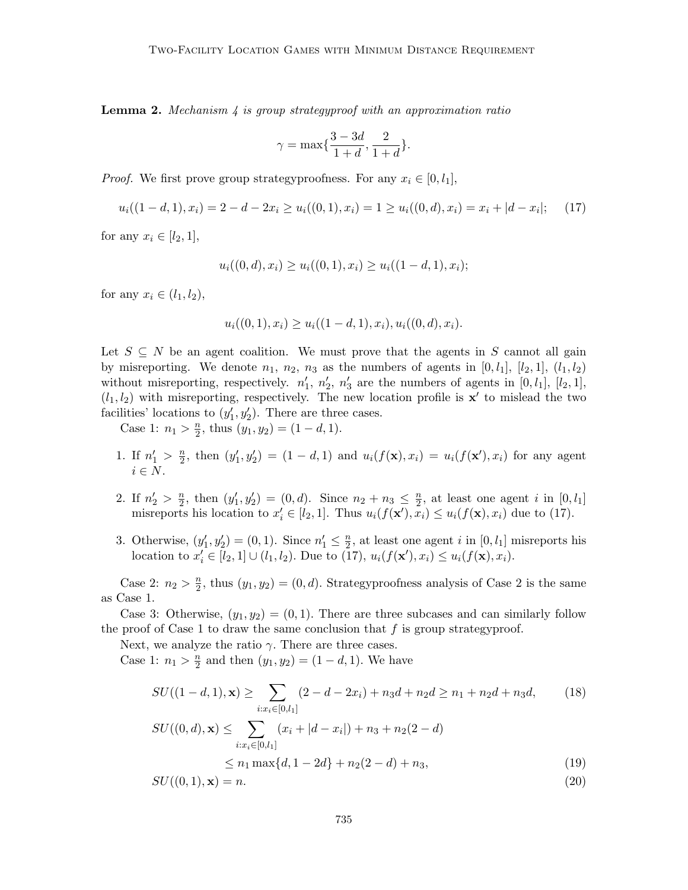**Lemma 2.** Mechanism  $\downarrow$  is group strategyproof with an approximation ratio

$$
\gamma = \max\{\frac{3-3d}{1+d},\frac{2}{1+d}\}.
$$

*Proof.* We first prove group strategyproofness. For any  $x_i \in [0, l_1]$ ,

$$
u_i((1-d,1),x_i) = 2-d-2x_i \ge u_i((0,1),x_i) = 1 \ge u_i((0,d),x_i) = x_i + |d-x_i|; \quad (17)
$$

for any  $x_i \in [l_2, 1]$ ,

$$
u_i((0,d),x_i) \ge u_i((0,1),x_i) \ge u_i((1-d,1),x_i);
$$

for any  $x_i \in (l_1, l_2)$ ,

$$
u_i((0,1),x_i) \ge u_i((1-d,1),x_i), u_i((0,d),x_i).
$$

Let  $S \subseteq N$  be an agent coalition. We must prove that the agents in S cannot all gain by misreporting. We denote  $n_1$ ,  $n_2$ ,  $n_3$  as the numbers of agents in [0,  $l_1$ ], [ $l_2$ , 1], ( $l_1$ ,  $l_2$ ) without misreporting, respectively.  $n'_1$ ,  $n'_2$ ,  $n'_3$  are the numbers of agents in [0,  $l_1$ ], [ $l_2$ , 1],  $(l_1, l_2)$  with misreporting, respectively. The new location profile is  $\mathbf{x}'$  to mislead the two facilities' locations to  $(y'_1, y'_2)$ . There are three cases.

Case 1:  $n_1 > \frac{n}{2}$  $\frac{n}{2}$ , thus  $(y_1, y_2) = (1 - d, 1)$ .

- 1. If  $n'_1 > \frac{n}{2}$  $\frac{n}{2}$ , then  $(y'_1, y'_2) = (1 - d, 1)$  and  $u_i(f(\mathbf{x}), x_i) = u_i(f(\mathbf{x}'), x_i)$  for any agent  $i \in N$ .
- 2. If  $n'_2 > \frac{n}{2}$  $\frac{n}{2}$ , then  $(y'_1, y'_2) = (0, d)$ . Since  $n_2 + n_3 \leq \frac{n}{2}$  $\frac{n}{2}$ , at least one agent *i* in  $[0, l_1]$ misreports his location to  $x'_i \in [l_2, 1]$ . Thus  $u_i(f(\mathbf{x}'), \bar{x}_i) \leq u_i(f(\mathbf{x}), x_i)$  due to (17).
- 3. Otherwise,  $(y'_1, y'_2) = (0, 1)$ . Since  $n'_1 \leq \frac{n}{2}$  $\frac{n}{2}$ , at least one agent *i* in  $[0, l_1]$  misreports his location to  $x'_{i} \in [l_2, 1] \cup (l_1, l_2)$ . Due to  $(17), u_i(f(\mathbf{x}'), x_i) \leq u_i(f(\mathbf{x}), x_i)$ .

Case 2:  $n_2 > \frac{n}{2}$  $\frac{n}{2}$ , thus  $(y_1, y_2) = (0, d)$ . Strategyproofness analysis of Case 2 is the same as Case 1.

Case 3: Otherwise,  $(y_1, y_2) = (0, 1)$ . There are three subcases and can similarly follow the proof of Case 1 to draw the same conclusion that  $f$  is group strategy proof.

Next, we analyze the ratio  $\gamma$ . There are three cases.

Case 1:  $n_1 > \frac{n}{2}$  $\frac{n}{2}$  and then  $(y_1, y_2) = (1 - d, 1)$ . We have

$$
SU((1-d,1),\mathbf{x}) \ge \sum_{i:x_i \in [0,l_1]} (2-d-2x_i) + n_3d + n_2d \ge n_1 + n_2d + n_3d,
$$
(18)  

$$
SU((0,d),\mathbf{x}) \le \sum_{i:x_i \in [0,l_1]} (x_i + |d-x_i|) + n_3 + n_2(2-d)
$$
  

$$
\le n_1 \max\{d, 1-2d\} + n_2(2-d) + n_3,
$$
(19)

$$
SU((0,1),\mathbf{x}) = n.\tag{20}
$$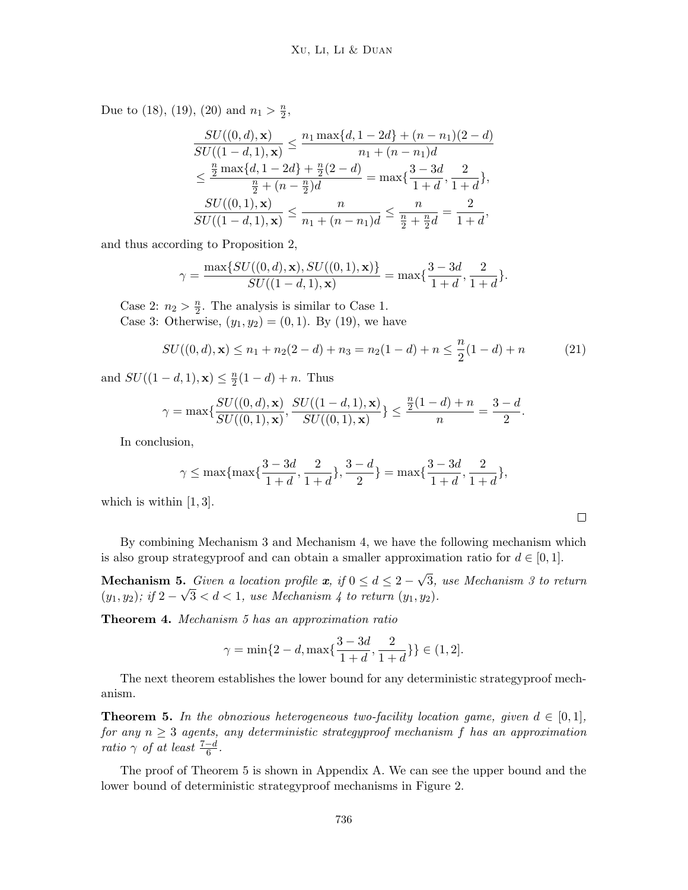Due to (18), (19), (20) and  $n_1 > \frac{n}{2}$  $\frac{n}{2}$ 

$$
\frac{SU((0,d),\mathbf{x})}{SU((1-d,1),\mathbf{x})} \le \frac{n_1 \max\{d, 1-2d\} + (n-n_1)(2-d)}{n_1 + (n-n_1)d}
$$

$$
\le \frac{\frac{n}{2} \max\{d, 1-2d\} + \frac{n}{2}(2-d)}{\frac{n}{2} + (n-\frac{n}{2})d} = \max\{\frac{3-3d}{1+d}, \frac{2}{1+d}\},
$$

$$
\frac{SU((0,1),\mathbf{x})}{SU((1-d,1),\mathbf{x})} \le \frac{n}{n_1 + (n-n_1)d} \le \frac{n}{\frac{n}{2} + \frac{n}{2}d} = \frac{2}{1+d},
$$

and thus according to Proposition 2,

$$
\gamma = \frac{\max\{SU((0,d),\mathbf{x}), SU((0,1),\mathbf{x})\}}{SU((1-d,1),\mathbf{x})} = \max\{\frac{3-3d}{1+d},\frac{2}{1+d}\}.
$$

Case 2:  $n_2 > \frac{n}{2}$  $\frac{n}{2}$ . The analysis is similar to Case 1. Case 3: Otherwise,  $(y_1, y_2) = (0, 1)$ . By (19), we have

$$
SU((0,d), \mathbf{x}) \le n_1 + n_2(2-d) + n_3 = n_2(1-d) + n \le \frac{n}{2}(1-d) + n \tag{21}
$$

 $\Box$ 

and  $SU((1-d,1),\mathbf{x}) \leq \frac{n}{2}$  $\frac{n}{2}(1-d) + n$ . Thus

$$
\gamma = \max\{\frac{SU((0,d),\mathbf{x})}{SU((0,1),\mathbf{x})}, \frac{SU((1-d,1),\mathbf{x})}{SU((0,1),\mathbf{x})}\} \le \frac{\frac{n}{2}(1-d)+n}{n} = \frac{3-d}{2}.
$$

In conclusion,

$$
\gamma \le \max\{\max\{\frac{3-3d}{1+d}, \frac{2}{1+d}\}, \frac{3-d}{2}\} = \max\{\frac{3-3d}{1+d}, \frac{2}{1+d}\},\
$$

which is within [1, 3].

By combining Mechanism 3 and Mechanism 4, we have the following mechanism which is also group strategyproof and can obtain a smaller approximation ratio for  $d \in [0, 1]$ .

**Mechanism 5.** Given a location profile x, if  $0 \le d \le 2$  – √ 5. Given a location profile  $x$ , if  $0 \le d \le 2-\sqrt{3}$ , use Mechanism 3 to return  $(y_1, y_2)$ ; if  $2 - \sqrt{3} < d < 1$ , use Mechanism 4 to return  $(y_1, y_2)$ .

Theorem 4. Mechanism 5 has an approximation ratio

$$
\gamma=\min\{2-d,\max\{\frac{3-3d}{1+d},\frac{2}{1+d}\}\}\in(1,2].
$$

The next theorem establishes the lower bound for any deterministic strategyproof mechanism.

**Theorem 5.** In the obnoxious heterogeneous two-facility location game, given  $d \in [0,1]$ , for any  $n \geq 3$  agents, any deterministic strategyproof mechanism f has an approximation ratio  $\gamma$  of at least  $\frac{7-d}{6}$ .

The proof of Theorem 5 is shown in Appendix A. We can see the upper bound and the lower bound of deterministic strategyproof mechanisms in Figure 2.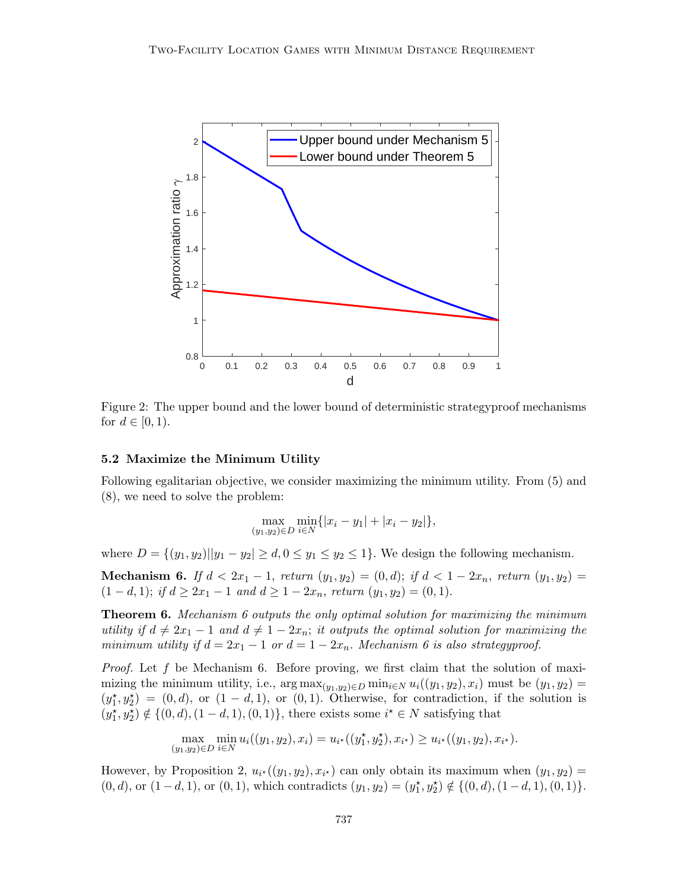

Figure 2: The upper bound and the lower bound of deterministic strategyproof mechanisms for  $d \in [0, 1)$ .

#### 5.2 Maximize the Minimum Utility

Following egalitarian objective, we consider maximizing the minimum utility. From (5) and (8), we need to solve the problem:

$$
\max_{(y_1, y_2)\in D} \min_{i\in N} \{|x_i - y_1| + |x_i - y_2|\},\
$$

where  $D = \{(y_1, y_2) | |y_1 - y_2| \ge d, 0 \le y_1 \le y_2 \le 1\}$ . We design the following mechanism.

Mechanism 6. If  $d < 2x_1 - 1$ , return  $(y_1, y_2) = (0, d)$ ; if  $d < 1 - 2x_n$ , return  $(y_1, y_2) =$  $(1-d, 1);$  if  $d \geq 2x_1 - 1$  and  $d \geq 1 - 2x_n$ , return  $(y_1, y_2) = (0, 1).$ 

**Theorem 6.** Mechanism 6 outputs the only optimal solution for maximizing the minimum utility if  $d \neq 2x_1 - 1$  and  $d \neq 1 - 2x_n$ ; it outputs the optimal solution for maximizing the minimum utility if  $d = 2x_1 - 1$  or  $d = 1 - 2x_n$ . Mechanism 6 is also strategyproof.

*Proof.* Let f be Mechanism 6. Before proving, we first claim that the solution of maximizing the minimum utility, i.e.,  $\arg \max_{(y_1, y_2) \in D} \min_{i \in N} u_i((y_1, y_2), x_i)$  must be  $(y_1, y_2) =$  $(y_1^{\star}, y_2^{\star}) = (0, d)$ , or  $(1 - d, 1)$ , or  $(0, 1)$ . Otherwise, for contradiction, if the solution is  $(y_1^{\star}, y_2^{\star}) \notin \{(0, d), (1 - d, 1), (0, 1)\},\$  there exists some  $i^{\star} \in N$  satisfying that

$$
\max_{(y_1, y_2)\in D} \min_{i\in N} u_i((y_1, y_2), x_i) = u_{i^*}((y_1^*, y_2^*), x_{i^*}) \ge u_{i^*}((y_1, y_2), x_{i^*}).
$$

However, by Proposition 2,  $u_{i^*}((y_1, y_2), x_{i^*})$  can only obtain its maximum when  $(y_1, y_2)$  =  $(0, d)$ , or  $(1-d, 1)$ , or  $(0, 1)$ , which contradicts  $(y_1, y_2) = (y_1^{\star}, y_2^{\star}) \notin \{(0, d), (1-d, 1), (0, 1)\}.$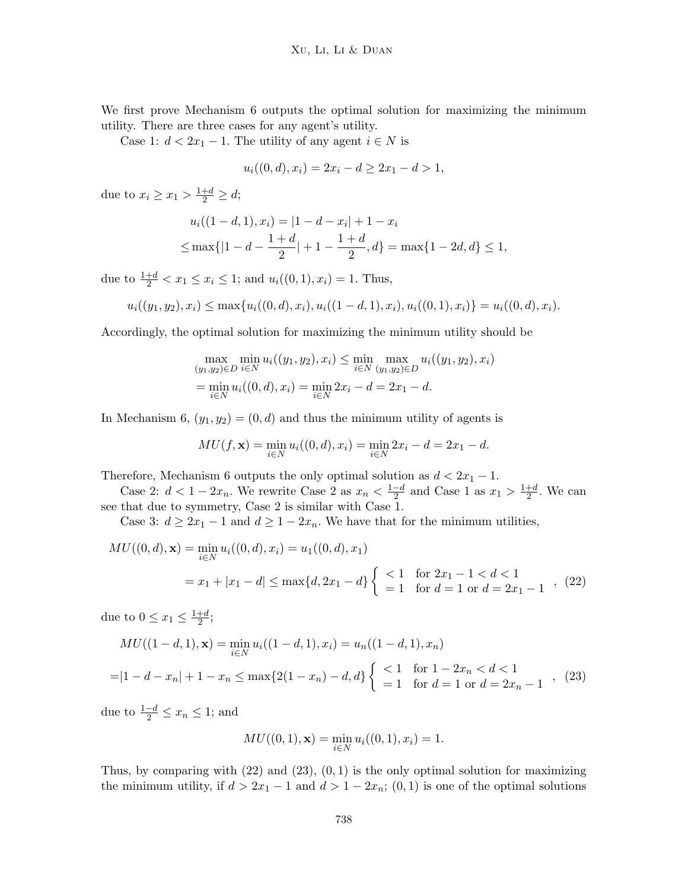We first prove Mechanism 6 outputs the optimal solution for maximizing the minimum utility. There are three cases for any agent's utility.

Case 1:  $d < 2x_1 - 1$ . The utility of any agent  $i \in N$  is

$$
u_i((0, d), x_i) = 2x_i - d \ge 2x_1 - d > 1,
$$

due to  $x_i \geq x_1 > \frac{1+d}{2} \geq d;$ 

$$
u_i((1-d,1), x_i) = |1-d-x_i| + 1-x_i
$$
  
\n
$$
\leq \max\{|1-d-\frac{1+d}{2}|+1-\frac{1+d}{2}, d\} = \max\{1-2d, d\} \leq 1,
$$

due to  $\frac{1+d}{2} < x_1 \leq x_i \leq 1$ ; and  $u_i((0,1), x_i) = 1$ . Thus,

$$
u_i((y_1, y_2), x_i) \le \max\{u_i((0, d), x_i), u_i((1 - d, 1), x_i), u_i((0, 1), x_i)\} = u_i((0, d), x_i).
$$

Accordingly, the optimal solution for maximizing the minimum utility should be

$$
\max_{(y_1, y_2) \in D} \min_{i \in N} u_i((y_1, y_2), x_i) \le \min_{i \in N} \max_{(y_1, y_2) \in D} u_i((y_1, y_2), x_i)
$$
  
= 
$$
\min_{i \in N} u_i((0, d), x_i) = \min_{i \in N} 2x_i - d = 2x_1 - d.
$$

In Mechanism 6,  $(y_1, y_2) = (0, d)$  and thus the minimum utility of agents is

$$
MU(f, \mathbf{x}) = \min_{i \in N} u_i((0, d), x_i) = \min_{i \in N} 2x_i - d = 2x_1 - d.
$$

Therefore, Mechanism 6 outputs the only optimal solution as  $d < 2x_1 - 1$ .

Case 2:  $d < 1 - 2x_n$ . We rewrite Case 2 as  $x_n < \frac{1-d}{2}$  $\frac{-d}{2}$  and Case 1 as  $x_1 > \frac{1+d}{2}$  $\frac{+d}{2}$ . We can see that due to symmetry, Case 2 is similar with Case 1.

Case 3:  $d \geq 2x_1 - 1$  and  $d \geq 1 - 2x_n$ . We have that for the minimum utilities,

$$
MU((0, d), \mathbf{x}) = \min_{i \in N} u_i((0, d), x_i) = u_1((0, d), x_1)
$$
  
=  $x_1 + |x_1 - d| \le \max\{d, 2x_1 - d\} \begin{cases} < 1 & \text{for } 2x_1 - 1 < d < 1 \\ = 1 & \text{for } d = 1 \text{ or } d = 2x_1 - 1 \end{cases}$ , (22)

due to  $0 \leq x_1 \leq \frac{1+d}{2}$  $\frac{+d}{2}$ ;

$$
MU((1-d,1), \mathbf{x}) = \min_{i \in N} u_i((1-d,1), x_i) = u_n((1-d,1), x_n)
$$
  
=|1-d - x\_n| + 1 - x\_n \le \max\{2(1-x\_n) - d, d\} \begin{cases} < 1 & \text{for } 1 - 2x\_n < d < 1 \\ = 1 & \text{for } d = 1 \text{ or } d = 2x\_n - 1 \end{cases} (23)

due to  $\frac{1-d}{2} \leq x_n \leq 1$ ; and

$$
MU((0,1), \mathbf{x}) = \min_{i \in N} u_i((0,1), x_i) = 1.
$$

Thus, by comparing with  $(22)$  and  $(23)$ ,  $(0, 1)$  is the only optimal solution for maximizing the minimum utility, if  $d > 2x_1 - 1$  and  $d > 1 - 2x_n$ ;  $(0, 1)$  is one of the optimal solutions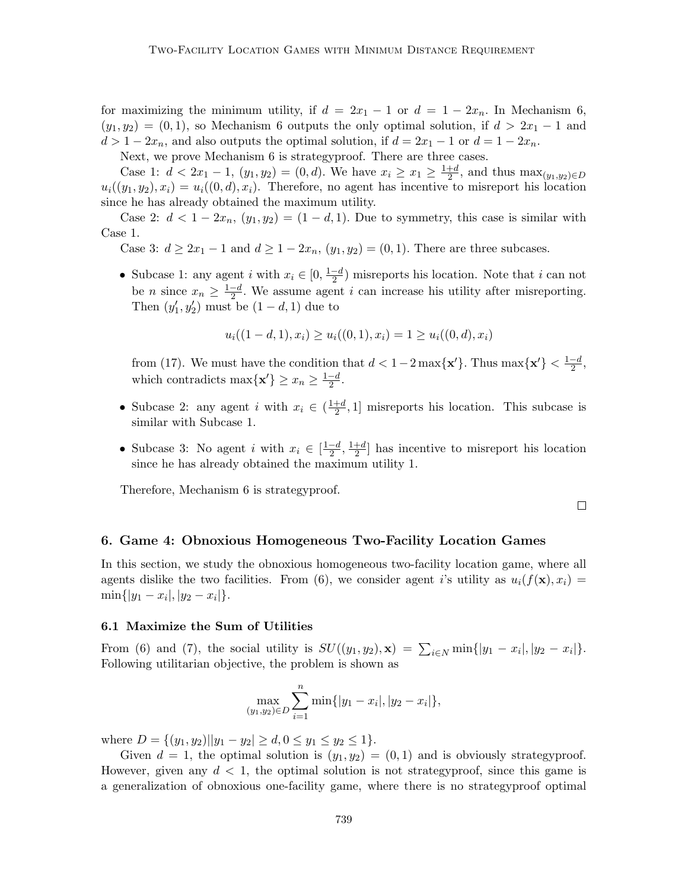for maximizing the minimum utility, if  $d = 2x_1 - 1$  or  $d = 1 - 2x_n$ . In Mechanism 6,  $(y_1, y_2) = (0, 1)$ , so Mechanism 6 outputs the only optimal solution, if  $d > 2x_1 - 1$  and  $d > 1 - 2x_n$ , and also outputs the optimal solution, if  $d = 2x_1 - 1$  or  $d = 1 - 2x_n$ .

Next, we prove Mechanism 6 is strategyproof. There are three cases.

Case 1:  $d < 2x_1 - 1$ ,  $(y_1, y_2) = (0, d)$ . We have  $x_i \ge x_1 \ge \frac{1+d}{2}$  $\frac{+d}{2}$ , and thus  $\max_{(y_1,y_2)\in D}$  $u_i((y_1, y_2), x_i) = u_i((0, d), x_i)$ . Therefore, no agent has incentive to misreport his location since he has already obtained the maximum utility.

Case 2:  $d < 1-2x_n$ ,  $(y_1, y_2) = (1-d, 1)$ . Due to symmetry, this case is similar with Case 1.

Case 3:  $d \geq 2x_1 - 1$  and  $d \geq 1 - 2x_n$ ,  $(y_1, y_2) = (0, 1)$ . There are three subcases.

• Subcase 1: any agent i with  $x_i \in [0, \frac{1-d}{2}]$  $\frac{-d}{2}$  misreports his location. Note that *i* can not be *n* since  $x_n \geq \frac{1-d}{2}$  $\frac{-d}{2}$ . We assume agent *i* can increase his utility after misreporting. Then  $(y'_1, y'_2)$  must be  $(1 - d, 1)$  due to

$$
u_i((1-d,1),x_i) \ge u_i((0,1),x_i) = 1 \ge u_i((0,d),x_i)
$$

from (17). We must have the condition that  $d < 1-2 \max\{\mathbf{x}'\}$ . Thus  $\max\{\mathbf{x}'\} < \frac{1-d}{2}$  $\frac{-a}{2}$ , which contradicts max $\{x'\}\geq x_n\geq \frac{1-d}{2}$  $\frac{-a}{2}$ .

- Subcase 2: any agent i with  $x_i \in \left(\frac{1+d}{2}\right)$  $\frac{+d}{2}$ , 1] misreports his location. This subcase is similar with Subcase 1.
- Subcase 3: No agent i with  $x_i \in \left[\frac{1-d}{2}\right]$  $\frac{-d}{2}, \frac{1+d}{2}$  $\frac{+d}{2}$  has incentive to misreport his location since he has already obtained the maximum utility 1.

Therefore, Mechanism 6 is strategyproof.

 $\Box$ 

#### 6. Game 4: Obnoxious Homogeneous Two-Facility Location Games

In this section, we study the obnoxious homogeneous two-facility location game, where all agents dislike the two facilities. From (6), we consider agent i's utility as  $u_i(f(\mathbf{x}), x_i) =$  $\min\{|y_1-x_i|, |y_2-x_i|\}.$ 

#### 6.1 Maximize the Sum of Utilities

From (6) and (7), the social utility is  $SU((y_1, y_2), \mathbf{x}) = \sum_{i \in N} \min\{|y_1 - x_i|, |y_2 - x_i|\}.$ Following utilitarian objective, the problem is shown as

$$
\max_{(y_1,y_2)\in D} \sum_{i=1}^n \min\{|y_1 - x_i|, |y_2 - x_i|\},\
$$

where  $D = \{(y_1, y_2) | |y_1 - y_2| \ge d, 0 \le y_1 \le y_2 \le 1\}.$ 

Given  $d = 1$ , the optimal solution is  $(y_1, y_2) = (0, 1)$  and is obviously strategyproof. However, given any  $d < 1$ , the optimal solution is not strategy proof, since this game is a generalization of obnoxious one-facility game, where there is no strategyproof optimal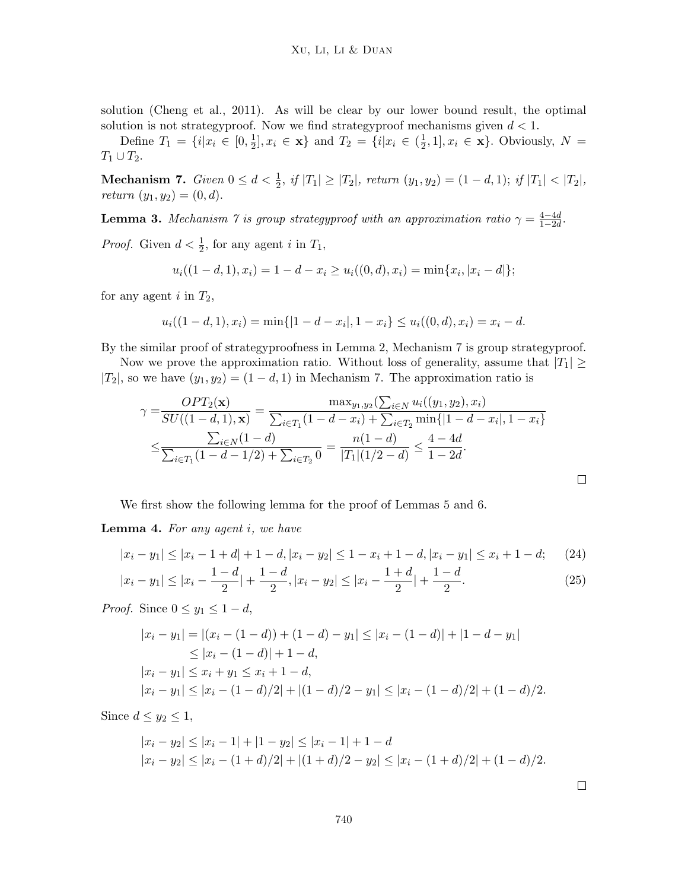solution (Cheng et al., 2011). As will be clear by our lower bound result, the optimal solution is not strategyproof. Now we find strategyproof mechanisms given  $d < 1$ .

Define  $T_1 = \{i | x_i \in [0, \frac{1}{2}]\}$  $\frac{1}{2}, x_i \in \mathbf{x} \}$  and  $T_2 = \{i | x_i \in (\frac{1}{2})\}$  $(\frac{1}{2}, 1], x_i \in \mathbf{x}$ . Obviously,  $N =$  $T_1\cup T_2$ .

Mechanism 7. Given  $0 \le d < \frac{1}{2}$ , if  $|T_1| \ge |T_2|$ , return  $(y_1, y_2) = (1 - d, 1)$ ; if  $|T_1| < |T_2|$ , return  $(y_1, y_2) = (0, d)$ .

**Lemma 3.** Mechanism 7 is group strategyproof with an approximation ratio  $\gamma = \frac{4-4d}{1-2d}$  $\frac{4-4d}{1-2d}$ .

*Proof.* Given  $d < \frac{1}{2}$ , for any agent i in  $T_1$ ,

$$
u_i((1-d,1),x_i) = 1-d-x_i \ge u_i((0,d),x_i) = \min\{x_i, |x_i - d|\};
$$

for any agent i in  $T_2$ ,

$$
u_i((1-d,1),x_i) = \min\{|1-d-x_i|, 1-x_i\} \le u_i((0,d),x_i) = x_i - d.
$$

By the similar proof of strategyproofness in Lemma 2, Mechanism 7 is group strategyproof.

Now we prove the approximation ratio. Without loss of generality, assume that  $|T_1| \ge$  $|T_2|$ , so we have  $(y_1, y_2) = (1 - d, 1)$  in Mechanism 7. The approximation ratio is

$$
\gamma = \frac{OPT_2(\mathbf{x})}{SU((1-d,1),\mathbf{x})} = \frac{\max_{y_1,y_2}(\sum_{i\in N} u_i((y_1,y_2),x_i))}{\sum_{i\in T_1} (1-d-x_i) + \sum_{i\in T_2} \min\{|1-d-x_i|, 1-x_i\}} \le \frac{\sum_{i\in N} (1-d)}{\sum_{i\in T_1} (1-d-1/2) + \sum_{i\in T_2} 0} = \frac{n(1-d)}{|T_1|(1/2-d)} \le \frac{4-4d}{1-2d}.
$$

We first show the following lemma for the proof of Lemmas 5 and 6.

Lemma 4. For any agent i, we have

$$
|x_i - y_1| \le |x_i - 1 + d| + 1 - d, |x_i - y_2| \le 1 - x_i + 1 - d, |x_i - y_1| \le x_i + 1 - d; \tag{24}
$$

$$
|x_i - y_1| \le |x_i - \frac{1 - d}{2}| + \frac{1 - d}{2}, |x_i - y_2| \le |x_i - \frac{1 + d}{2}| + \frac{1 - d}{2}.
$$
 (25)

*Proof.* Since  $0 \le y_1 \le 1 - d$ ,

$$
|x_i - y_1| = |(x_i - (1 - d)) + (1 - d) - y_1| \le |x_i - (1 - d)| + |1 - d - y_1|
$$
  
\n
$$
\le |x_i - (1 - d)| + 1 - d,
$$
  
\n
$$
|x_i - y_1| \le x_i + y_1 \le x_i + 1 - d,
$$
  
\n
$$
|x_i - y_1| \le |x_i - (1 - d)/2| + |(1 - d)/2 - y_1| \le |x_i - (1 - d)/2| + (1 - d)/2.
$$

Since  $d \leq y_2 \leq 1$ ,

$$
|x_i - y_2| \le |x_i - 1| + |1 - y_2| \le |x_i - 1| + 1 - d
$$
  

$$
|x_i - y_2| \le |x_i - (1 + d)/2| + |(1 + d)/2 - y_2| \le |x_i - (1 + d)/2| + (1 - d)/2.
$$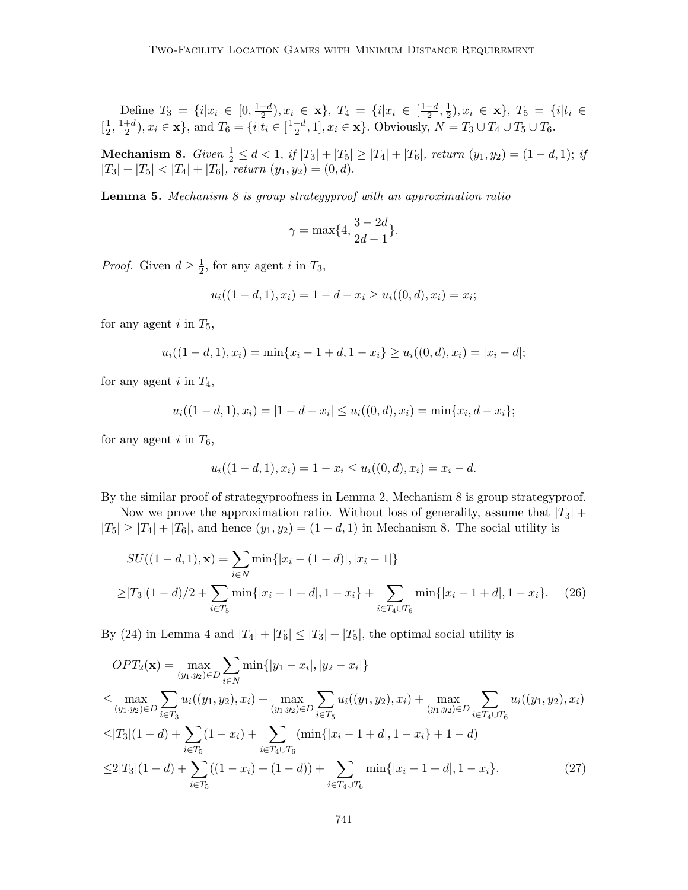Define 
$$
T_3 = \{i | x_i \in [0, \frac{1-d}{2}), x_i \in \mathbf{x}\}, T_4 = \{i | x_i \in [\frac{1-d}{2}, \frac{1}{2}), x_i \in \mathbf{x}\}, T_5 = \{i | t_i \in [\frac{1}{2}, \frac{1+d}{2}), x_i \in \mathbf{x}\}, \text{ and } T_6 = \{i | t_i \in [\frac{1+d}{2}, 1], x_i \in \mathbf{x}\}.
$$
 Obviously,  $N = T_3 \cup T_4 \cup T_5 \cup T_6$ .

**Mechanism 8.** Given  $\frac{1}{2} \leq d < 1$ , if  $|T_3| + |T_5| \geq |T_4| + |T_6|$ , return  $(y_1, y_2) = (1 - d, 1)$ ; if  $|T_3| + |T_5| < |T_4| + |T_6|$ , return  $(y_1, y_2) = (0, d)$ .

**Lemma 5.** Mechanism  $8$  is group strategyproof with an approximation ratio

$$
\gamma = \max\{4, \frac{3-2d}{2d-1}\}.
$$

*Proof.* Given  $d \geq \frac{1}{2}$  $\frac{1}{2}$ , for any agent *i* in  $T_3$ ,

$$
u_i((1-d,1),x_i) = 1-d-x_i \ge u_i((0,d),x_i) = x_i;
$$

for any agent  $i$  in  $T_5$ ,

$$
u_i((1-d,1),x_i) = \min\{x_i-1+d, 1-x_i\} \ge u_i((0,d),x_i) = |x_i-d|;
$$

for any agent  $i$  in  $T_4$ ,

$$
u_i((1-d,1),x_i) = |1-d-x_i| \le u_i((0,d),x_i) = \min\{x_i,d-x_i\};
$$

for any agent i in  $T_6$ ,

$$
u_i((1-d,1),x_i) = 1 - x_i \le u_i((0,d),x_i) = x_i - d.
$$

By the similar proof of strategyproofness in Lemma 2, Mechanism 8 is group strategyproof.

Now we prove the approximation ratio. Without loss of generality, assume that  $|T_3|$  +  $|T_5| \geq |T_4| + |T_6|$ , and hence  $(y_1, y_2) = (1 - d, 1)$  in Mechanism 8. The social utility is

$$
SU((1-d,1),\mathbf{x}) = \sum_{i\in N} \min\{|x_i - (1-d)|, |x_i - 1|\}
$$
  
\n
$$
\geq |T_3|(1-d)/2 + \sum_{i\in T_5} \min\{|x_i - 1+d|, 1-x_i\} + \sum_{i\in T_4\cup T_6} \min\{|x_i - 1+d|, 1-x_i\}. \tag{26}
$$

By (24) in Lemma 4 and  $|T_4| + |T_6| \leq |T_3| + |T_5|$ , the optimal social utility is

$$
OPT_2(\mathbf{x}) = \max_{(y_1, y_2) \in D} \sum_{i \in N} \min\{|y_1 - x_i|, |y_2 - x_i|\}
$$
  
\n
$$
\leq \max_{(y_1, y_2) \in D} \sum_{i \in T_3} u_i((y_1, y_2), x_i) + \max_{(y_1, y_2) \in D} \sum_{i \in T_5} u_i((y_1, y_2), x_i) + \max_{(y_1, y_2) \in D} \sum_{i \in T_4 \cup T_6} u_i((y_1, y_2), x_i)
$$
  
\n
$$
\leq |T_3|(1-d) + \sum_{i \in T_5} (1-x_i) + \sum_{i \in T_4 \cup T_6} (\min\{|x_i - 1 + d|, 1 - x_i\} + 1 - d)
$$
  
\n
$$
\leq 2|T_3|(1-d) + \sum_{i \in T_5} ((1-x_i) + (1-d)) + \sum_{i \in T_4 \cup T_6} \min\{|x_i - 1 + d|, 1 - x_i\}. \tag{27}
$$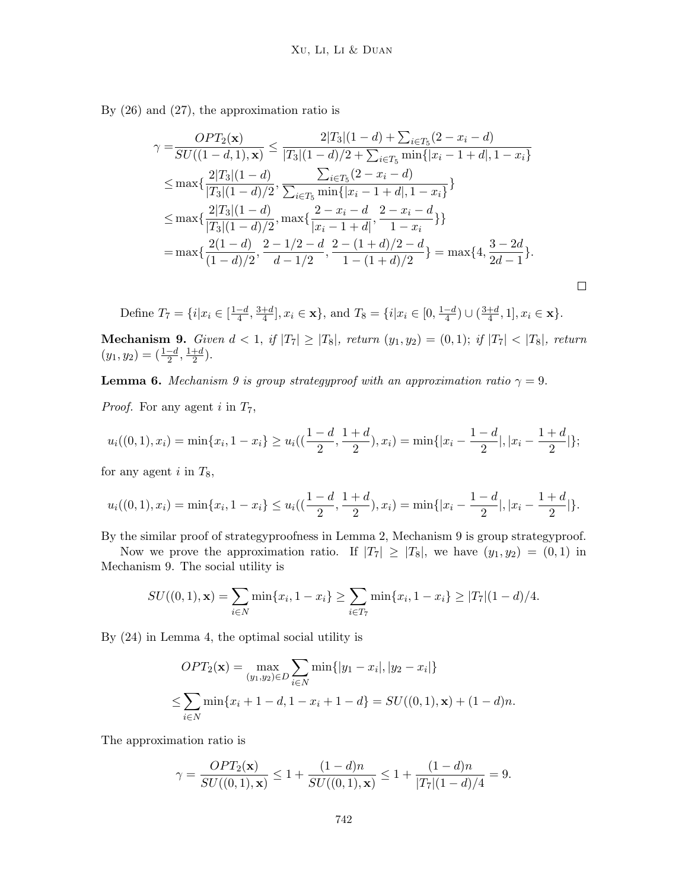By (26) and (27), the approximation ratio is

$$
\gamma = \frac{OPT_2(\mathbf{x})}{SU((1-d,1),\mathbf{x})} \le \frac{2|T_3|(1-d) + \sum_{i \in T_5} (2-x_i-d)}{|T_3|(1-d)/2 + \sum_{i \in T_5} \min\{|x_i-1+d|, 1-x_i\}} \n\le \max\{\frac{2|T_3|(1-d)}{|T_3|(1-d)/2}, \frac{\sum_{i \in T_5} (2-x_i-d)}{\sum_{i \in T_5} \min\{|x_i-1+d|, 1-x_i\}}\} \n\le \max\{\frac{2|T_3|(1-d)}{|T_3|(1-d)/2}, \max\{\frac{2-x_i-d}{|x_i-1+d|}, \frac{2-x_i-d}{1-x_i}\}\} \n= \max\{\frac{2(1-d)}{(1-d)/2}, \frac{2-1/2-d}{d-1/2}, \frac{2-(1+d)/2-d}{1-(1+d)/2}\} = \max\{4, \frac{3-2d}{2d-1}\}.
$$

 $\Box$ 

Define  $T_7 = \{i | x_i \in [\frac{1-d}{4}]$  $\frac{-d}{4}$ ,  $\frac{3+d}{4}$  $\frac{+d}{4}$ ,  $x_i \in \mathbf{x}$ , and  $T_8 = \{i | x_i \in [0, \frac{1-d}{4}]$  $\frac{-d}{4}) \cup (\frac{3+d}{4}$  $\frac{+d}{4}, 1], x_i \in \mathbf{x}$ .

**Mechanism 9.** Given  $d < 1$ , if  $|T_7| \geq |T_8|$ , return  $(y_1, y_2) = (0, 1)$ ; if  $|T_7| < |T_8|$ , return  $(y_1, y_2) = \left(\frac{1-d}{2}, \frac{1+d}{2}\right)$  $\frac{+d}{2}$ ).

**Lemma 6.** Mechanism 9 is group strategyproof with an approximation ratio  $\gamma = 9$ .

*Proof.* For any agent i in  $T_7$ ,

$$
u_i((0,1),x_i) = \min\{x_i, 1-x_i\} \ge u_i\left(\left(\frac{1-d}{2}, \frac{1+d}{2}\right), x_i\right) = \min\{|x_i - \frac{1-d}{2}|, |x_i - \frac{1+d}{2}|\};
$$

for any agent  $i$  in  $T_8$ ,

$$
u_i((0,1),x_i) = \min\{x_i, 1-x_i\} \le u_i\left(\left(\frac{1-d}{2}, \frac{1+d}{2}\right), x_i\right) = \min\{|x_i - \frac{1-d}{2}|, |x_i - \frac{1+d}{2}|\}.
$$

By the similar proof of strategyproofness in Lemma 2, Mechanism 9 is group strategyproof.

Now we prove the approximation ratio. If  $|T_7| \geq |T_8|$ , we have  $(y_1, y_2) = (0, 1)$  in Mechanism 9. The social utility is

$$
SU((0,1),\mathbf{x}) = \sum_{i\in N} \min\{x_i, 1-x_i\} \ge \sum_{i\in T_7} \min\{x_i, 1-x_i\} \ge |T_7|(1-d)/4.
$$

By (24) in Lemma 4, the optimal social utility is

$$
OPT_2(\mathbf{x}) = \max_{(y_1, y_2) \in D} \sum_{i \in N} \min\{|y_1 - x_i|, |y_2 - x_i|\}
$$
  

$$
\leq \sum_{i \in N} \min\{x_i + 1 - d, 1 - x_i + 1 - d\} = SU((0, 1), \mathbf{x}) + (1 - d)n.
$$

The approximation ratio is

$$
\gamma = \frac{OPT_2(\mathbf{x})}{SU((0,1),\mathbf{x})} \le 1 + \frac{(1-d)n}{SU((0,1),\mathbf{x})} \le 1 + \frac{(1-d)n}{|T_7|(1-d)/4} = 9.
$$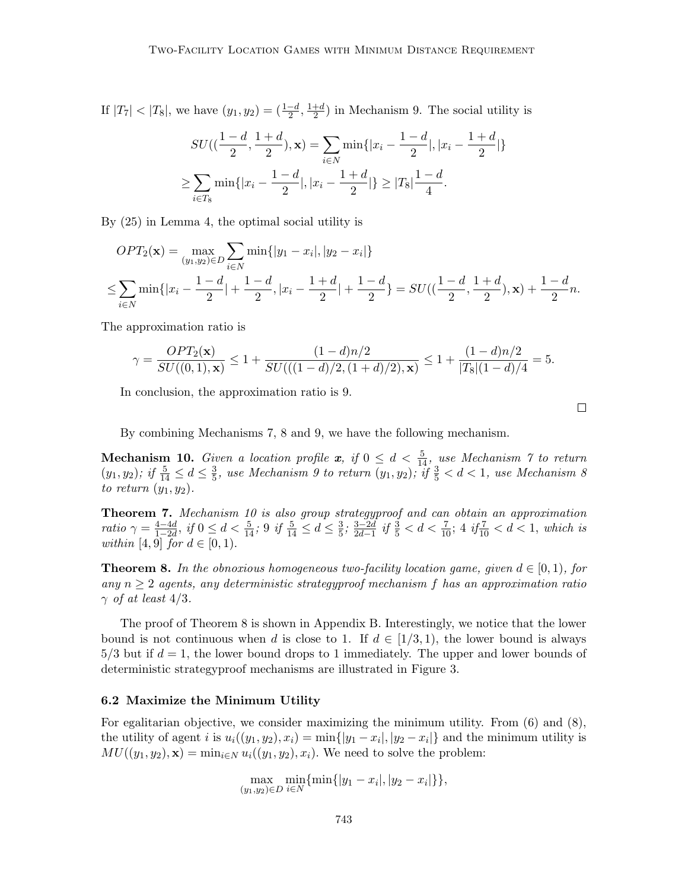If  $|T_7| < |T_8|$ , we have  $(y_1, y_2) = (\frac{1-d}{2}, \frac{1+d}{2})$  $\frac{+d}{2}$ ) in Mechanism 9. The social utility is

$$
SU((\frac{1-d}{2}, \frac{1+d}{2}), \mathbf{x}) = \sum_{i \in N} \min\{|x_i - \frac{1-d}{2}|, |x_i - \frac{1+d}{2}|\}
$$

$$
\geq \sum_{i \in T_8} \min\{|x_i - \frac{1-d}{2}|, |x_i - \frac{1+d}{2}|\} \geq |T_8|\frac{1-d}{4}.
$$

By (25) in Lemma 4, the optimal social utility is

$$
OPT_2(\mathbf{x}) = \max_{(y_1, y_2) \in D} \sum_{i \in N} \min\{|y_1 - x_i|, |y_2 - x_i|\}
$$
  
\n
$$
\leq \sum_{i \in N} \min\{|x_i - \frac{1 - d}{2}| + \frac{1 - d}{2}, |x_i - \frac{1 + d}{2}| + \frac{1 - d}{2}\} = SU((\frac{1 - d}{2}, \frac{1 + d}{2}), \mathbf{x}) + \frac{1 - d}{2}n.
$$

The approximation ratio is

$$
\gamma = \frac{OPT_2(\mathbf{x})}{SU((0,1),\mathbf{x})} \le 1 + \frac{(1-d)n/2}{SU(((1-d)/2,(1+d)/2),\mathbf{x})} \le 1 + \frac{(1-d)n/2}{|T_8|(1-d)/4} = 5.
$$

In conclusion, the approximation ratio is 9.

By combining Mechanisms 7, 8 and 9, we have the following mechanism.

**Mechanism 10.** Given a location profile  $x$ , if  $0 \le d < \frac{5}{14}$ , use Mechanism 7 to return  $(y_1, y_2)$ ; if  $\frac{5}{14} \le d \le \frac{3}{5}$  $\frac{3}{5}$ , use Mechanism 9 to return  $(y_1, y_2)$ ; if  $\frac{3}{5} < d < 1$ , use Mechanism 8 to return  $(y_1, y_2)$ .

Theorem 7. Mechanism 10 is also group strategyproof and can obtain an approximation ratio  $\gamma = \frac{4-4d}{1-2d}$  $\frac{4-4d}{1-2d}$ , if  $0 \leq d < \frac{5}{14}$ ; 9 if  $\frac{5}{14} \leq d \leq \frac{3}{5}$  $\frac{3}{5}$ ;  $\frac{3-2d}{2d-1}$  $\frac{3-2d}{2d-1}$  if  $\frac{3}{5} < d < \frac{7}{10}$ ; 4 if  $\frac{7}{10} < d < 1$ , which is within [4, 9] for  $d \in [0, 1)$ .

**Theorem 8.** In the obnoxious homogeneous two-facility location game, given  $d \in [0,1)$ , for any  $n \geq 2$  agents, any deterministic strategyproof mechanism f has an approximation ratio  $\gamma$  of at least 4/3.

The proof of Theorem 8 is shown in Appendix B. Interestingly, we notice that the lower bound is not continuous when d is close to 1. If  $d \in [1/3, 1)$ , the lower bound is always  $5/3$  but if  $d = 1$ , the lower bound drops to 1 immediately. The upper and lower bounds of deterministic strategyproof mechanisms are illustrated in Figure 3.

# 6.2 Maximize the Minimum Utility

For egalitarian objective, we consider maximizing the minimum utility. From  $(6)$  and  $(8)$ , the utility of agent *i* is  $u_i((y_1, y_2), x_i) = \min\{|y_1 - x_i|, |y_2 - x_i|\}$  and the minimum utility is  $MU((y_1, y_2), \mathbf{x}) = \min_{i \in \mathbb{N}} u_i((y_1, y_2), x_i)$ . We need to solve the problem:

$$
\max_{(y_1,y_2)\in D} \min_{i\in N} \{\min\{|y_1-x_i|, |y_2-x_i|\}\},\
$$

 $\Box$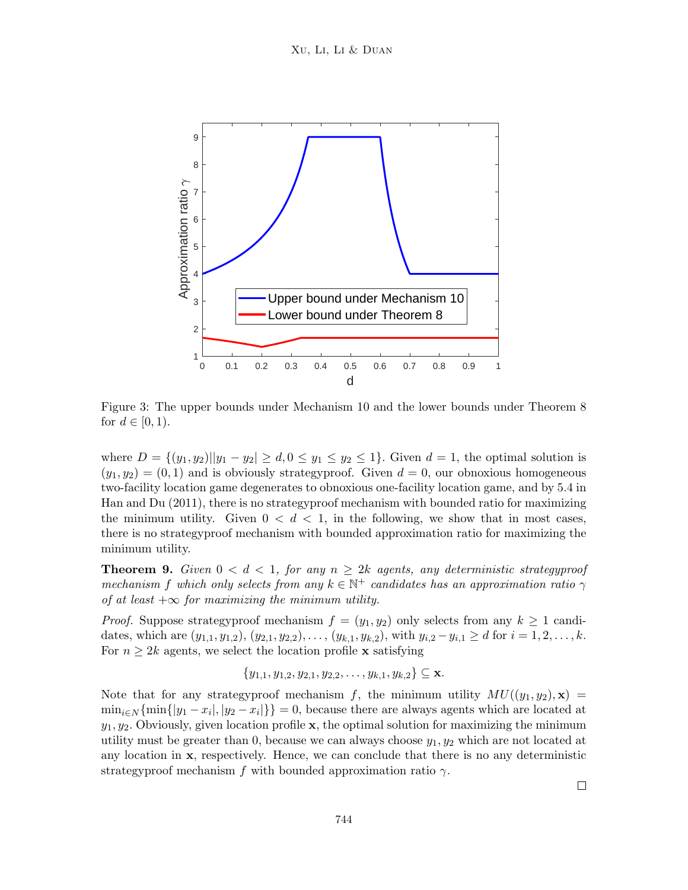

Figure 3: The upper bounds under Mechanism 10 and the lower bounds under Theorem 8 for  $d \in [0, 1)$ .

where  $D = \{(y_1, y_2) | |y_1 - y_2| \ge d, 0 \le y_1 \le y_2 \le 1\}$ . Given  $d = 1$ , the optimal solution is  $(y_1, y_2) = (0, 1)$  and is obviously strategyproof. Given  $d = 0$ , our obnoxious homogeneous two-facility location game degenerates to obnoxious one-facility location game, and by 5.4 in Han and Du (2011), there is no strategyproof mechanism with bounded ratio for maximizing the minimum utility. Given  $0 < d < 1$ , in the following, we show that in most cases, there is no strategyproof mechanism with bounded approximation ratio for maximizing the minimum utility.

**Theorem 9.** Given  $0 < d < 1$ , for any  $n \geq 2k$  agents, any deterministic strategyproof mechanism f which only selects from any  $k \in \mathbb{N}^+$  candidates has an approximation ratio  $\gamma$ of at least  $+\infty$  for maximizing the minimum utility.

*Proof.* Suppose strategyproof mechanism  $f = (y_1, y_2)$  only selects from any  $k \ge 1$  candidates, which are  $(y_{1,1}, y_{1,2}), (y_{2,1}, y_{2,2}), \ldots, (y_{k,1}, y_{k,2}),$  with  $y_{i,2} - y_{i,1} \ge d$  for  $i = 1, 2, \ldots, k$ . For  $n \geq 2k$  agents, we select the location profile **x** satisfying

$$
\{y_{1,1}, y_{1,2}, y_{2,1}, y_{2,2}, \ldots, y_{k,1}, y_{k,2}\} \subseteq \mathbf{x}.
$$

Note that for any strategyproof mechanism f, the minimum utility  $MU((y_1, y_2), \mathbf{x}) =$  $\min_{i \in \mathbb{N}} \{\min\{|y_1 - x_i|, |y_2 - x_i|\}\} = 0$ , because there are always agents which are located at  $y_1, y_2$ . Obviously, given location profile x, the optimal solution for maximizing the minimum utility must be greater than 0, because we can always choose  $y_1, y_2$  which are not located at any location in  $x$ , respectively. Hence, we can conclude that there is no any deterministic strategyproof mechanism f with bounded approximation ratio  $\gamma$ .

 $\Box$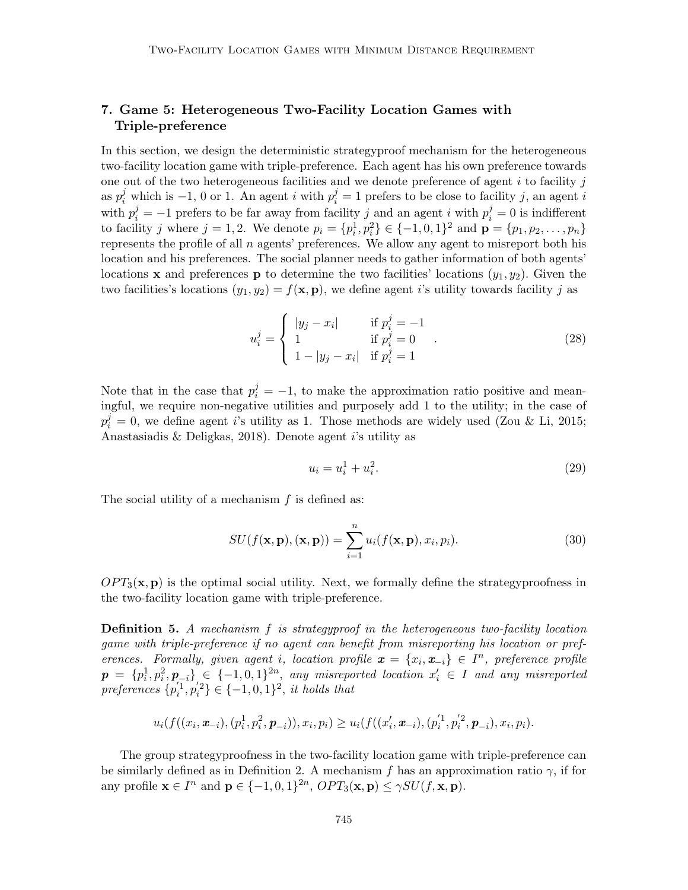# 7. Game 5: Heterogeneous Two-Facility Location Games with Triple-preference

In this section, we design the deterministic strategyproof mechanism for the heterogeneous two-facility location game with triple-preference. Each agent has his own preference towards one out of the two heterogeneous facilities and we denote preference of agent  $i$  to facility  $j$ as  $p_i^j$  which is -1, 0 or 1. An agent i with  $p_i^j = 1$  prefers to be close to facility j, an agent i with  $p_i^j = -1$  prefers to be far away from facility j and an agent i with  $p_i^j = 0$  is indifferent to facility j where  $j = 1, 2$ . We denote  $p_i = \{p_i^1, p_i^2\} \in \{-1, 0, 1\}^2$  and  $\mathbf{p} = \{p_1, p_2, \dots, p_n\}$ represents the profile of all  $n$  agents' preferences. We allow any agent to misreport both his location and his preferences. The social planner needs to gather information of both agents' locations **x** and preferences **p** to determine the two facilities' locations  $(y_1, y_2)$ . Given the two facilities's locations  $(y_1, y_2) = f(\mathbf{x}, \mathbf{p})$ , we define agent i's utility towards facility j as

$$
u_i^j = \begin{cases} |y_j - x_i| & \text{if } p_i^j = -1 \\ 1 & \text{if } p_i^j = 0 \\ 1 - |y_j - x_i| & \text{if } p_i^j = 1 \end{cases}
$$
 (28)

Note that in the case that  $p_i^j = -1$ , to make the approximation ratio positive and meaningful, we require non-negative utilities and purposely add 1 to the utility; in the case of  $p_i^j = 0$ , we define agent is utility as 1. Those methods are widely used (Zou & Li, 2015; Anastasiadis & Deligkas, 2018). Denote agent i's utility as

$$
u_i = u_i^1 + u_i^2. \t\t(29)
$$

The social utility of a mechanism  $f$  is defined as:

$$
SU(f(\mathbf{x}, \mathbf{p}), (\mathbf{x}, \mathbf{p})) = \sum_{i=1}^{n} u_i(f(\mathbf{x}, \mathbf{p}), x_i, p_i).
$$
 (30)

 $OPT_3(\mathbf{x}, \mathbf{p})$  is the optimal social utility. Next, we formally define the strategy proofness in the two-facility location game with triple-preference.

**Definition 5.** A mechanism  $f$  is strategyproof in the heterogeneous two-facility location game with triple-preference if no agent can benefit from misreporting his location or preferences. Formally, given agent i, location profile  $\mathbf{x} = \{x_i, \mathbf{x}_{-i}\} \in I^n$ , preference profile  $\bm{p} = \{p_i^1, p_i^2, \bm{p}_{-i}\} \in \{-1, 0, 1\}^{2n}$ , any misreported location  $x_i' \in I$  and any misreported preferences  $\{p_i^{'1}, p_i^{'2}\} \in \{-1, 0, 1\}^2$ , it holds that

$$
u_i(f((x_i, \boldsymbol{x}_{-i}), (p_i^1, p_i^2, \boldsymbol{p}_{-i})), x_i, p_i) \geq u_i(f((x_i', \boldsymbol{x}_{-i}), (p_i'^1, p_i'^2, \boldsymbol{p}_{-i}), x_i, p_i).
$$

The group strategyproofness in the two-facility location game with triple-preference can be similarly defined as in Definition 2. A mechanism f has an approximation ratio  $\gamma$ , if for any profile  $\mathbf{x} \in I^n$  and  $\mathbf{p} \in \{-1,0,1\}^{2n}$ ,  $OPT_3(\mathbf{x}, \mathbf{p}) \le \gamma SU(f, \mathbf{x}, \mathbf{p})$ .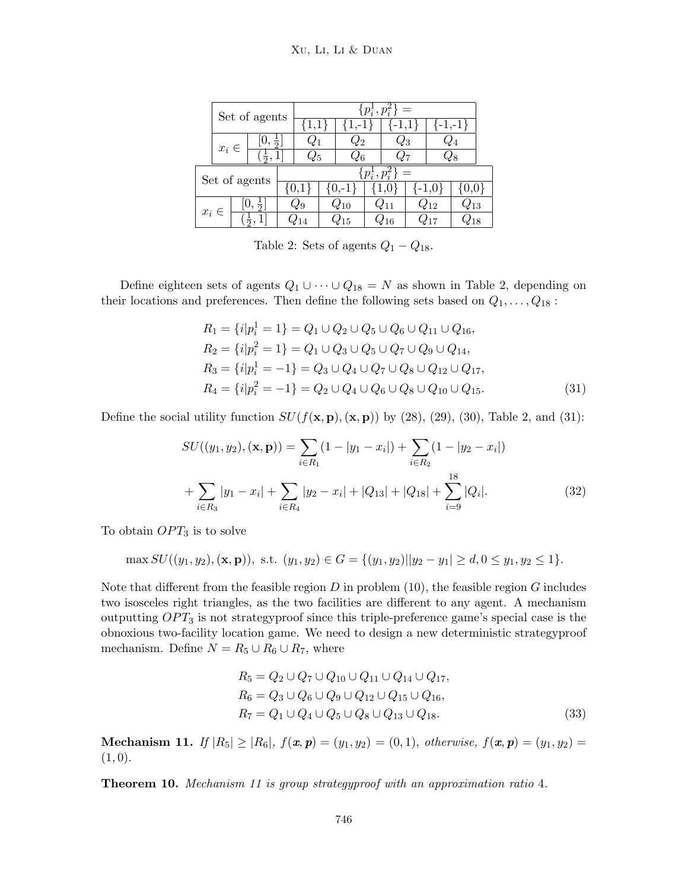#### Xu, Li, Li & Duan

|               | Set of agents |               |               | $=$<br>$ p_{i}^{1}, p_{i}^{2} $ |     |    |          |  |                |                    |  |                 |  |
|---------------|---------------|---------------|---------------|---------------------------------|-----|----|----------|--|----------------|--------------------|--|-----------------|--|
|               |               |               |               |                                 | 1,1 |    |          |  |                |                    |  |                 |  |
| $x_i \in$     |               | $\frac{1}{2}$ |               |                                 |     | 22 |          |  | $\mathcal{L}3$ |                    |  |                 |  |
|               |               |               |               |                                 |     |    |          |  |                |                    |  |                 |  |
| Set of agents |               |               |               | $p_i^1, p_i^2$                  |     |    |          |  |                |                    |  |                 |  |
|               |               |               |               |                                 |     |    |          |  |                |                    |  |                 |  |
|               | $x_i \in$     |               | $\frac{1}{2}$ |                                 |     |    | $Q_{10}$ |  |                | $\mathcal{U}_{12}$ |  | $\mathcal{V}13$ |  |
|               |               |               |               |                                 |     |    | 15       |  |                |                    |  |                 |  |

Table 2: Sets of agents  $Q_1 - Q_{18}$ .

Define eighteen sets of agents  $Q_1 \cup \cdots \cup Q_{18} = N$  as shown in Table 2, depending on their locations and preferences. Then define the following sets based on  $Q_1, \ldots, Q_{18}$ :

$$
R_1 = \{i|p_i^1 = 1\} = Q_1 \cup Q_2 \cup Q_5 \cup Q_6 \cup Q_{11} \cup Q_{16},
$$
  
\n
$$
R_2 = \{i|p_i^2 = 1\} = Q_1 \cup Q_3 \cup Q_5 \cup Q_7 \cup Q_9 \cup Q_{14},
$$
  
\n
$$
R_3 = \{i|p_i^1 = -1\} = Q_3 \cup Q_4 \cup Q_7 \cup Q_8 \cup Q_{12} \cup Q_{17},
$$
  
\n
$$
R_4 = \{i|p_i^2 = -1\} = Q_2 \cup Q_4 \cup Q_6 \cup Q_8 \cup Q_{10} \cup Q_{15}.
$$
  
\n(31)

Define the social utility function  $SU(f(\mathbf{x}, \mathbf{p}),(\mathbf{x}, \mathbf{p}))$  by (28), (29), (30), Table 2, and (31):

$$
SU((y_1, y_2), (\mathbf{x}, \mathbf{p})) = \sum_{i \in R_1} (1 - |y_1 - x_i|) + \sum_{i \in R_2} (1 - |y_2 - x_i|)
$$

$$
+ \sum_{i \in R_3} |y_1 - x_i| + \sum_{i \in R_4} |y_2 - x_i| + |Q_{13}| + |Q_{18}| + \sum_{i=9}^{18} |Q_i|.
$$
(32)

To obtain  $OPT_3$  is to solve

$$
\max SU((y_1, y_2), (\mathbf{x}, \mathbf{p})), \text{ s.t. } (y_1, y_2) \in G = \{ (y_1, y_2) || y_2 - y_1 | \ge d, 0 \le y_1, y_2 \le 1 \}.
$$

Note that different from the feasible region  $D$  in problem (10), the feasible region  $G$  includes two isosceles right triangles, as the two facilities are different to any agent. A mechanism outputting  $OPT_3$  is not strategyproof since this triple-preference game's special case is the obnoxious two-facility location game. We need to design a new deterministic strategyproof mechanism. Define  $N = R_5 \cup R_6 \cup R_7$ , where

$$
R_5 = Q_2 \cup Q_7 \cup Q_{10} \cup Q_{11} \cup Q_{14} \cup Q_{17},
$$
  
\n
$$
R_6 = Q_3 \cup Q_6 \cup Q_9 \cup Q_{12} \cup Q_{15} \cup Q_{16},
$$
  
\n
$$
R_7 = Q_1 \cup Q_4 \cup Q_5 \cup Q_8 \cup Q_{13} \cup Q_{18}.
$$
\n(33)

Mechanism 11. If  $|R_5| \geq |R_6|$ ,  $f(x, p) = (y_1, y_2) = (0, 1)$ , otherwise,  $f(x, p) = (y_1, y_2) = (0, 1)$  $(1, 0).$ 

Theorem 10. Mechanism 11 is group strategyproof with an approximation ratio 4.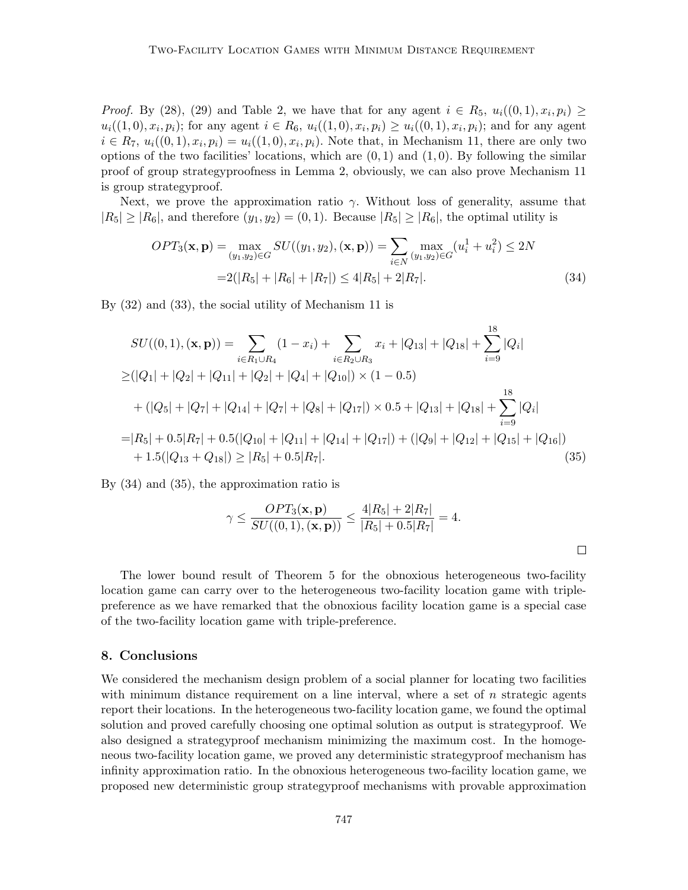*Proof.* By (28), (29) and Table 2, we have that for any agent  $i \in R_5$ ,  $u_i((0,1), x_i, p_i) \geq$  $u_i((1,0), x_i, p_i)$ ; for any agent  $i \in R_6$ ,  $u_i((1,0), x_i, p_i) \ge u_i((0,1), x_i, p_i)$ ; and for any agent  $i \in R_7$ ,  $u_i((0,1), x_i, p_i) = u_i((1,0), x_i, p_i)$ . Note that, in Mechanism 11, there are only two options of the two facilities' locations, which are  $(0, 1)$  and  $(1, 0)$ . By following the similar proof of group strategyproofness in Lemma 2, obviously, we can also prove Mechanism 11 is group strategyproof.

Next, we prove the approximation ratio  $\gamma$ . Without loss of generality, assume that  $|R_5| \geq |R_6|$ , and therefore  $(y_1, y_2) = (0, 1)$ . Because  $|R_5| \geq |R_6|$ , the optimal utility is

$$
OPT_3(\mathbf{x}, \mathbf{p}) = \max_{(y_1, y_2) \in G} SU((y_1, y_2), (\mathbf{x}, \mathbf{p})) = \sum_{i \in N} \max_{(y_1, y_2) \in G} (u_i^1 + u_i^2) \le 2N
$$
  
= 2(|R\_5| + |R\_6| + |R\_7|) \le 4|R\_5| + 2|R\_7|. \t(34)

By (32) and (33), the social utility of Mechanism 11 is

$$
SU((0,1), (\mathbf{x}, \mathbf{p})) = \sum_{i \in R_1 \cup R_4} (1 - x_i) + \sum_{i \in R_2 \cup R_3} x_i + |Q_{13}| + |Q_{18}| + \sum_{i=9}^{18} |Q_i|
$$
  
\n
$$
\geq (|Q_1| + |Q_2| + |Q_{11}| + |Q_2| + |Q_4| + |Q_{10}|) \times (1 - 0.5)
$$
  
\n
$$
+ (|Q_5| + |Q_7| + |Q_{14}| + |Q_7| + |Q_8| + |Q_{17}|) \times 0.5 + |Q_{13}| + |Q_{18}| + \sum_{i=9}^{18} |Q_i|
$$
  
\n
$$
= |R_5| + 0.5|R_7| + 0.5(|Q_{10}| + |Q_{11}| + |Q_{14}| + |Q_{17}|) + (|Q_9| + |Q_{12}| + |Q_{15}| + |Q_{16}|)
$$
  
\n
$$
+ 1.5(|Q_{13} + Q_{18}|) \geq |R_5| + 0.5|R_7|.
$$
  
\n(35)

By (34) and (35), the approximation ratio is

$$
\gamma \le \frac{OPT_3(\mathbf{x}, \mathbf{p})}{SU((0, 1), (\mathbf{x}, \mathbf{p}))} \le \frac{4|R_5| + 2|R_7|}{|R_5| + 0.5|R_7|} = 4.
$$

The lower bound result of Theorem 5 for the obnoxious heterogeneous two-facility location game can carry over to the heterogeneous two-facility location game with triplepreference as we have remarked that the obnoxious facility location game is a special case of the two-facility location game with triple-preference.

### 8. Conclusions

We considered the mechanism design problem of a social planner for locating two facilities with minimum distance requirement on a line interval, where a set of  $n$  strategic agents report their locations. In the heterogeneous two-facility location game, we found the optimal solution and proved carefully choosing one optimal solution as output is strategyproof. We also designed a strategyproof mechanism minimizing the maximum cost. In the homogeneous two-facility location game, we proved any deterministic strategyproof mechanism has infinity approximation ratio. In the obnoxious heterogeneous two-facility location game, we proposed new deterministic group strategyproof mechanisms with provable approximation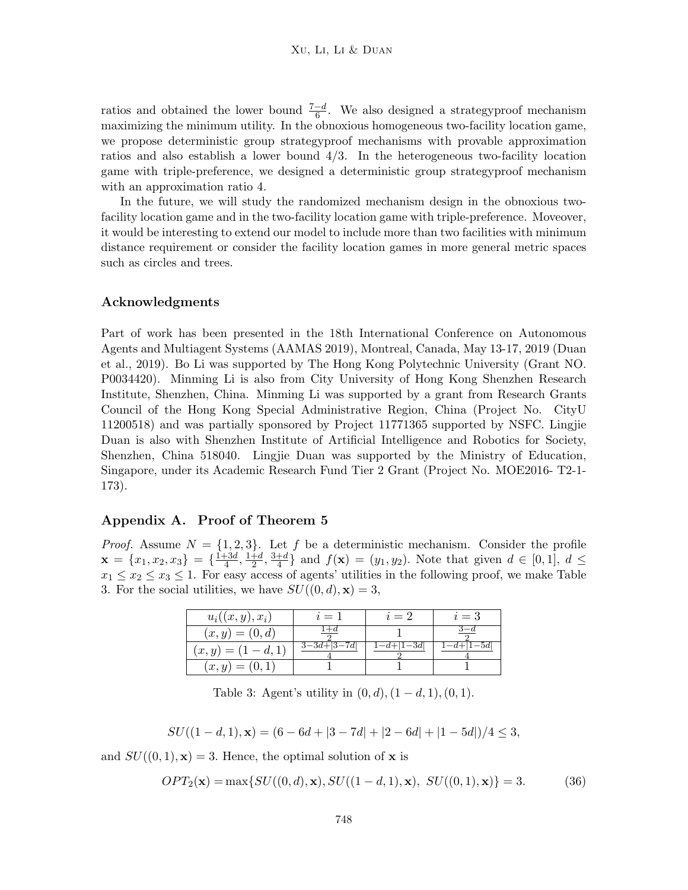ratios and obtained the lower bound  $\frac{7-d}{6}$ . We also designed a strategyproof mechanism maximizing the minimum utility. In the obnoxious homogeneous two-facility location game, we propose deterministic group strategyproof mechanisms with provable approximation ratios and also establish a lower bound 4/3. In the heterogeneous two-facility location game with triple-preference, we designed a deterministic group strategyproof mechanism with an approximation ratio 4.

In the future, we will study the randomized mechanism design in the obnoxious twofacility location game and in the two-facility location game with triple-preference. Moveover, it would be interesting to extend our model to include more than two facilities with minimum distance requirement or consider the facility location games in more general metric spaces such as circles and trees.

### Acknowledgments

Part of work has been presented in the 18th International Conference on Autonomous Agents and Multiagent Systems (AAMAS 2019), Montreal, Canada, May 13-17, 2019 (Duan et al., 2019). Bo Li was supported by The Hong Kong Polytechnic University (Grant NO. P0034420). Minming Li is also from City University of Hong Kong Shenzhen Research Institute, Shenzhen, China. Minming Li was supported by a grant from Research Grants Council of the Hong Kong Special Administrative Region, China (Project No. CityU 11200518) and was partially sponsored by Project 11771365 supported by NSFC. Lingjie Duan is also with Shenzhen Institute of Artificial Intelligence and Robotics for Society, Shenzhen, China 518040. Lingjie Duan was supported by the Ministry of Education, Singapore, under its Academic Research Fund Tier 2 Grant (Project No. MOE2016- T2-1- 173).

#### Appendix A. Proof of Theorem 5

*Proof.* Assume  $N = \{1, 2, 3\}$ . Let f be a deterministic mechanism. Consider the profile  $\mathbf{x} = \{x_1, x_2, x_3\} = \{\frac{1+3d}{4}\}$  $\frac{1+3d}{4}, \frac{1+d}{2}$  $\frac{+d}{2}, \frac{3+d}{4}$  $\frac{+d}{4}$  and  $f(\mathbf{x}) = (y_1, y_2)$ . Note that given  $d \in [0, 1], d \leq$  $x_1 \leq x_2 \leq x_3 \leq 1$ . For easy access of agents' utilities in the following proof, we make Table 3. For the social utilities, we have  $SU((0, d), \mathbf{x}) = 3$ ,

| $u_i((x,y),x_i)$      | $i=1$         | $i=2$     | $i=3$   |
|-----------------------|---------------|-----------|---------|
| $(x, y) = (0, d)$     |               |           |         |
| $(x, y) = (1 - d, 1)$ | $3-3d+ 3-7d $ | $-a+1-3a$ | $-5a_1$ |
| $(x,y)=(0,1)$         |               |           |         |

Table 3: Agent's utility in  $(0, d)$ ,  $(1 - d, 1)$ ,  $(0, 1)$ .

$$
SU((1-d,1), \mathbf{x}) = (6-6d+|3-7d|+|2-6d|+|1-5d|)/4 \le 3,
$$

and  $SU((0,1),\mathbf{x})=3$ . Hence, the optimal solution of **x** is

$$
OPT_2(\mathbf{x}) = \max\{SU((0, d), \mathbf{x}), SU((1 - d, 1), \mathbf{x}), SU((0, 1), \mathbf{x})\} = 3.
$$
 (36)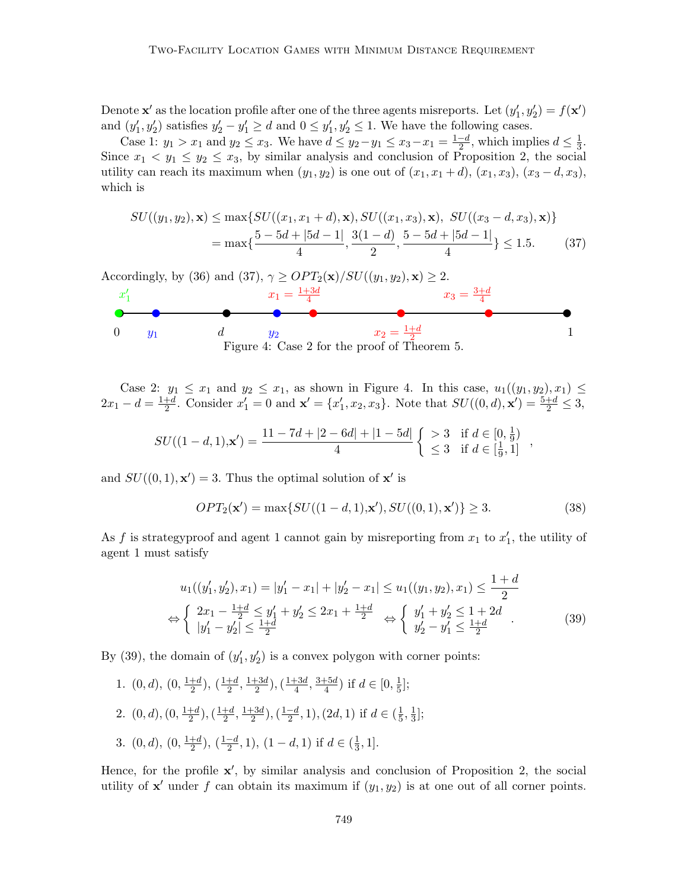Denote  $\mathbf{x}'$  as the location profile after one of the three agents misreports. Let  $(y'_1, y'_2) = f(\mathbf{x}')$ and  $(y'_1, y'_2)$  satisfies  $y'_2 - y'_1 \ge d$  and  $0 \le y'_1, y'_2 \le 1$ . We have the following cases.

Case 1:  $y_1 > x_1$  and  $y_2 \le x_3$ . We have  $d \le y_2 - y_1 \le x_3 - x_1 = \frac{1-d}{2}$  $\frac{-d}{2}$ , which implies  $d \leq \frac{1}{3}$  $\frac{1}{3}$ . Since  $x_1 \le y_1 \le y_2 \le x_3$ , by similar analysis and conclusion of Proposition 2, the social utility can reach its maximum when  $(y_1, y_2)$  is one out of  $(x_1, x_1 + d)$ ,  $(x_1, x_3)$ ,  $(x_3 - d, x_3)$ , which is

$$
SU((y_1, y_2), \mathbf{x}) \le \max\{SU((x_1, x_1 + d), \mathbf{x}), SU((x_1, x_3), \mathbf{x}), SU((x_3 - d, x_3), \mathbf{x})\}
$$
  
=  $\max\{\frac{5 - 5d + |5d - 1|}{4}, \frac{3(1 - d)}{2}, \frac{5 - 5d + |5d - 1|}{4}\} \le 1.5.$  (37)



Case 2:  $y_1 \leq x_1$  and  $y_2 \leq x_1$ , as shown in Figure 4. In this case,  $u_1((y_1, y_2), x_1) \leq$  $2x_1 - d = \frac{1+d}{2}$  $\frac{1}{2}$ . Consider  $x'_1 = 0$  and  $\mathbf{x}' = \{x'_1, x_2, x_3\}$ . Note that  $SU((0, d), \mathbf{x}') = \frac{5+d}{2} \leq 3$ ,

$$
SU((1-d,1),\mathbf{x}') = \frac{11-7d+|2-6d|+|1-5d|}{4} \left\{ \begin{array}{ll} >3 & \text{if } d \in [0,\frac{1}{9}) \\ \leq 3 & \text{if } d \in [\frac{1}{9},1] \end{array} \right.,
$$

and  $SU((0,1), \mathbf{x}') = 3$ . Thus the optimal solution of  $\mathbf{x}'$  is

$$
OPT_2(\mathbf{x}') = \max\{SU((1-d,1),\mathbf{x}'), SU((0,1),\mathbf{x}')\} \ge 3.
$$
 (38)

As f is strategy proof and agent 1 cannot gain by misreporting from  $x_1$  to  $x'_1$ , the utility of agent 1 must satisfy

$$
u_1((y'_1, y'_2), x_1) = |y'_1 - x_1| + |y'_2 - x_1| \le u_1((y_1, y_2), x_1) \le \frac{1+d}{2}
$$
  
\n
$$
\Leftrightarrow \left\{ \begin{array}{l} 2x_1 - \frac{1+d}{2} \le y'_1 + y'_2 \le 2x_1 + \frac{1+d}{2} \\ |y'_1 - y'_2| \le \frac{1+d}{2} \end{array} \right. \Leftrightarrow \left\{ \begin{array}{l} y'_1 + y'_2 \le 1 + 2d \\ y'_2 - y'_1 \le \frac{1+d}{2} \end{array} \right. \tag{39}
$$

By (39), the domain of  $(y'_1, y'_2)$  is a convex polygon with corner points:

1.  $(0, d), (0, \frac{1+d}{2})$  $(\frac{1+d}{2}), (\frac{1+d}{2}, \frac{1+3d}{2})$  $(\frac{1+3d}{2}), (\frac{1+3d}{4})$  $\frac{+3d}{4}$ ,  $\frac{3+5d}{4}$  $(\frac{1}{4})$  if  $d \in [0, \frac{1}{5}]$  $\frac{1}{5}$ ]; 2.  $(0, d), (0, \frac{1+d}{2})$  $(\frac{1+d}{2}), (\frac{1+d}{2})$  $\frac{+d}{2}, \frac{1+3d}{2}$  $(\frac{1-d}{2}), (\frac{1-d}{2})$  $\frac{-d}{2}, 1), (2d, 1)$  if  $d \in (\frac{1}{5})$  $\frac{1}{5}, \frac{1}{3}$  $\frac{1}{3}$ ]; 3.  $(0, d), (0, \frac{1+d}{2})$  $\frac{+d}{2}$ ),  $(\frac{1-d}{2}, 1)$ ,  $(1-d, 1)$  if  $d \in (\frac{1}{3})$  $\frac{1}{3}, 1].$ 

Hence, for the profile  $x'$ , by similar analysis and conclusion of Proposition 2, the social utility of  $x'$  under f can obtain its maximum if  $(y_1, y_2)$  is at one out of all corner points.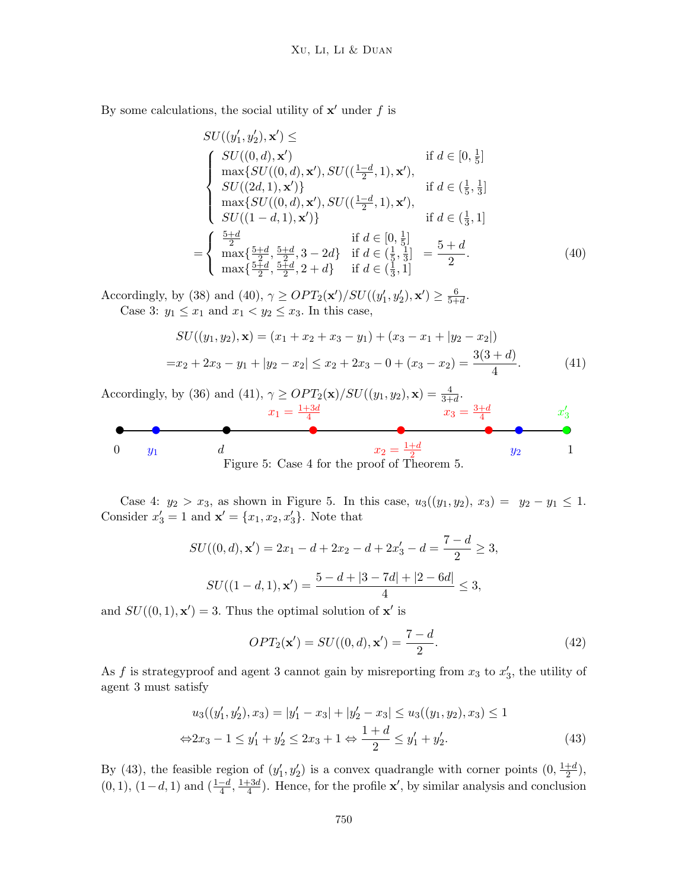By some calculations, the social utility of  $x'$  under f is

$$
SU((y'_1, y'_2), \mathbf{x}') \le
$$
  
\n
$$
\begin{cases}\nSU((0, d), \mathbf{x}') & \text{if } d \in [0, \frac{1}{5}] \\
\max\{SU((0, d), \mathbf{x}'), SU((\frac{1-d}{2}, 1), \mathbf{x}'), \\
SU((2d, 1), \mathbf{x}')\} & \text{if } d \in (\frac{1}{5}, \frac{1}{3}] \\
\max\{SU((0, d), \mathbf{x}'), SU((\frac{1-d}{2}, 1), \mathbf{x}'), \\
SU((1-d, 1), \mathbf{x}')\} & \text{if } d \in (\frac{1}{3}, 1] \\
=\n\begin{cases}\n\frac{5+d}{2} & \text{if } d \in [0, \frac{1}{5}] \\
\max\{\frac{5+d}{2}, \frac{5+d}{2}, 3-2d\} & \text{if } d \in (\frac{1}{5}, \frac{1}{3}] \\
\max\{\frac{5+d}{2}, \frac{5+d}{2}, 2+d\} & \text{if } d \in (\frac{1}{3}, 1]\n\end{cases}
$$
\n
$$
(40)
$$

Accordingly, by (38) and (40),  $\gamma \geq OPT_2(\mathbf{x'})/SU((y'_1, y'_2), \mathbf{x'}) \geq \frac{6}{5+1}$  $\frac{6}{5+d}$ . Case 3:  $y_1 \leq x_1$  and  $x_1 < y_2 \leq x_3$ . In this case,

$$
SU((y_1, y_2), \mathbf{x}) = (x_1 + x_2 + x_3 - y_1) + (x_3 - x_1 + |y_2 - x_2|)
$$
  
=  $x_2 + 2x_3 - y_1 + |y_2 - x_2| \le x_2 + 2x_3 - 0 + (x_3 - x_2) = \frac{3(3 + d)}{4}$ . (41)



Case 4:  $y_2 > x_3$ , as shown in Figure 5. In this case,  $u_3((y_1, y_2), x_3) = y_2 - y_1 \le 1$ . Consider  $x'_3 = 1$  and  $\mathbf{x}' = \{x_1, x_2, x'_3\}$ . Note that

$$
SU((0, d), \mathbf{x}') = 2x_1 - d + 2x_2 - d + 2x_3' - d = \frac{7 - d}{2} \ge 3,
$$
  

$$
SU((1 - d, 1), \mathbf{x}') = \frac{5 - d + |3 - 7d| + |2 - 6d|}{4} \le 3,
$$

and  $SU((0,1), \mathbf{x}') = 3$ . Thus the optimal solution of  $\mathbf{x}'$  is

$$
OPT_2(\mathbf{x}') = SU((0, d), \mathbf{x}') = \frac{7 - d}{2}.
$$
\n(42)

As f is strategy proof and agent 3 cannot gain by misreporting from  $x_3$  to  $x'_3$ , the utility of agent 3 must satisfy

$$
u_3((y'_1, y'_2), x_3) = |y'_1 - x_3| + |y'_2 - x_3| \le u_3((y_1, y_2), x_3) \le 1
$$
  

$$
\Leftrightarrow 2x_3 - 1 \le y'_1 + y'_2 \le 2x_3 + 1 \Leftrightarrow \frac{1+d}{2} \le y'_1 + y'_2.
$$
 (43)

By (43), the feasible region of  $(y'_1, y'_2)$  is a convex quadrangle with corner points  $(0, \frac{1+d}{2})$  $\frac{+d}{2}$ ),  $(0, 1), (1-d, 1)$  and  $\left(\frac{1-d}{4}, \frac{1+3d}{4}\right)$  $\frac{+3d}{4}$ ). Hence, for the profile **x'**, by similar analysis and conclusion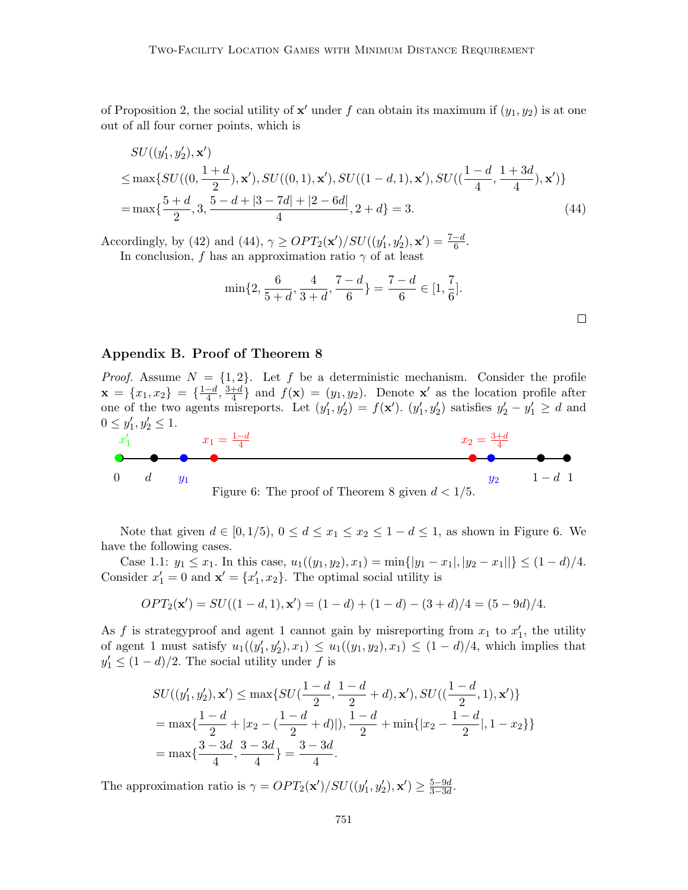of Proposition 2, the social utility of  $x'$  under f can obtain its maximum if  $(y_1, y_2)$  is at one out of all four corner points, which is

$$
SU((y'_1, y'_2), \mathbf{x'})
$$
  
\n
$$
\leq \max\{SU((0, \frac{1+d}{2}), \mathbf{x'}), SU((0, 1), \mathbf{x'}), SU((1-d, 1), \mathbf{x'}), SU((\frac{1-d}{4}, \frac{1+3d}{4}), \mathbf{x'})\}
$$
  
\n
$$
= \max\{\frac{5+d}{2}, 3, \frac{5-d+|3-7d|+|2-6d|}{4}, 2+d\} = 3.
$$
\n(44)

Accordingly, by (42) and (44),  $\gamma \geq OPT_2(\mathbf{x'})/SU((y'_1, y'_2), \mathbf{x'}) = \frac{7-d}{6}$ . In conclusion, f has an approximation ratio  $\gamma$  of at least

$$
\min\{2, \frac{6}{5+d}, \frac{4}{3+d}, \frac{7-d}{6}\} = \frac{7-d}{6} \in [1, \frac{7}{6}].
$$

# Appendix B. Proof of Theorem 8

*Proof.* Assume  $N = \{1, 2\}$ . Let f be a deterministic mechanism. Consider the profile  $\mathbf{x} = \{x_1, x_2\} = \{\frac{1-d}{4}\}$  $\frac{-d}{4}$ ,  $\frac{3+d}{4}$  $\frac{+d}{4}$  and  $f(\mathbf{x}) = (y_1, y_2)$ . Denote  $\mathbf{x}'$  as the location profile after one of the two agents misreports. Let  $(y'_1, y'_2) = f(\mathbf{x}')$ .  $(y'_1, y'_2)$  satisfies  $y'_2 - y'_1 \ge d$  and  $0 \le y'_1, y'_2 \le 1.$ 



Note that given  $d \in [0, 1/5)$ ,  $0 \leq d \leq x_1 \leq x_2 \leq 1 - d \leq 1$ , as shown in Figure 6. We have the following cases.

Case 1.1:  $y_1 \leq x_1$ . In this case,  $u_1((y_1, y_2), x_1) = \min\{|y_1 - x_1|, |y_2 - x_1|\} \leq (1 - d)/4$ . Consider  $x'_1 = 0$  and  $\mathbf{x}' = \{x'_1, x_2\}$ . The optimal social utility is

$$
OPT_2(\mathbf{x}') = SU((1-d,1), \mathbf{x}') = (1-d) + (1-d) - (3+d)/4 = (5-9d)/4.
$$

As f is strategy proof and agent 1 cannot gain by misreporting from  $x_1$  to  $x_1'$ , the utility of agent 1 must satisfy  $u_1((y'_1, y'_2), x_1) \le u_1((y_1, y_2), x_1) \le (1 - d)/4$ , which implies that  $y'_1 \leq (1-d)/2$ . The social utility under f is

$$
SU((y'_1, y'_2), \mathbf{x}') \le \max\{SU(\frac{1-d}{2}, \frac{1-d}{2} + d), \mathbf{x}'), SU((\frac{1-d}{2}, 1), \mathbf{x}')\}
$$
  
=  $\max\{\frac{1-d}{2} + |x_2 - (\frac{1-d}{2} + d)|), \frac{1-d}{2} + \min\{|x_2 - \frac{1-d}{2}|, 1 - x_2\}\}$   
=  $\max\{\frac{3-3d}{4}, \frac{3-3d}{4}\} = \frac{3-3d}{4}.$ 

The approximation ratio is  $\gamma = OPT_2(\mathbf{x}')/SU((y'_1, y'_2), \mathbf{x}') \ge \frac{5-9d}{3-3d}$  $\frac{5-9d}{3-3d}$ .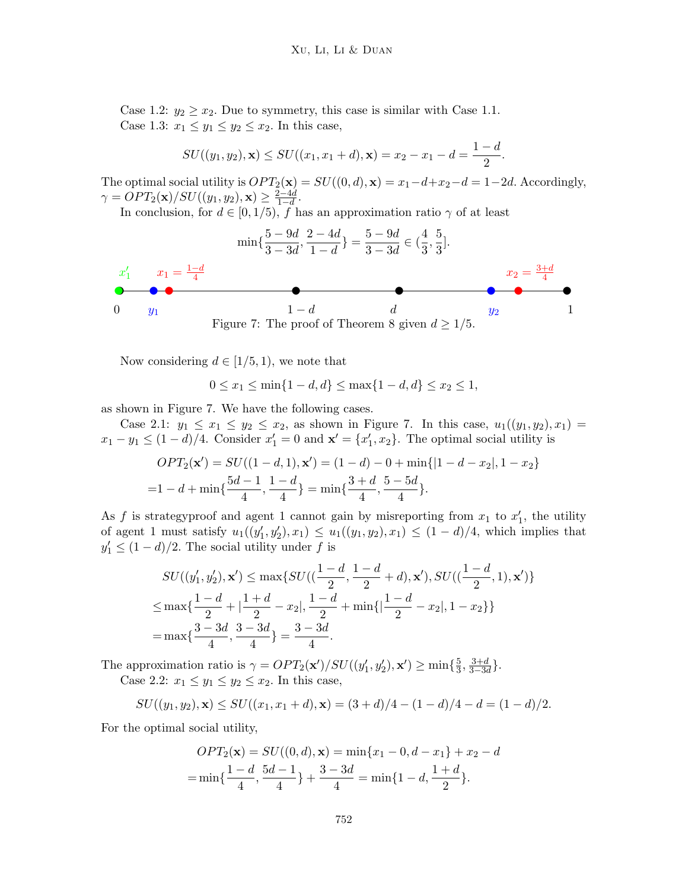Case 1.2:  $y_2 \ge x_2$ . Due to symmetry, this case is similar with Case 1.1. Case 1.3:  $x_1 \leq y_1 \leq y_2 \leq x_2$ . In this case,

$$
SU((y_1, y_2), \mathbf{x}) \leq SU((x_1, x_1 + d), \mathbf{x}) = x_2 - x_1 - d = \frac{1 - d}{2}.
$$

The optimal social utility is  $OPT_2(\mathbf{x}) = SU((0, d), \mathbf{x}) = x_1 - d + x_2 - d = 1 - 2d$ . Accordingly,  $\gamma = OPT_2(\mathbf{x})/SU((y_1, y_2), \mathbf{x}) \geq \frac{2-4d}{1-d}$  $\frac{2-4d}{1-d}$ .

In conclusion, for  $d \in [0, 1/5)$ , f has an approximation ratio  $\gamma$  of at least



Now considering  $d \in [1/5, 1)$ , we note that

$$
0 \le x_1 \le \min\{1 - d, d\} \le \max\{1 - d, d\} \le x_2 \le 1,
$$

as shown in Figure 7. We have the following cases.

Case 2.1:  $y_1 \le x_1 \le y_2 \le x_2$ , as shown in Figure 7. In this case,  $u_1((y_1, y_2), x_1) =$  $x_1 - y_1 \leq (1 - d)/4$ . Consider  $x_1' = 0$  and  $\mathbf{x}' = \{x_1', x_2\}$ . The optimal social utility is

$$
OPT_2(\mathbf{x}') = SU((1-d,1), \mathbf{x}') = (1-d) - 0 + \min\{|1-d-x_2|, 1-x_2\}
$$
  
=1-d +  $\min\{\frac{5d-1}{4}, \frac{1-d}{4}\} = \min\{\frac{3+d}{4}, \frac{5-5d}{4}\}.$ 

As f is strategy proof and agent 1 cannot gain by misreporting from  $x_1$  to  $x'_1$ , the utility of agent 1 must satisfy  $u_1((y'_1, y'_2), x_1) \le u_1((y_1, y_2), x_1) \le (1 - d)/4$ , which implies that  $y'_1 \leq (1-d)/2$ . The social utility under f is

$$
SU((y'_1, y'_2), \mathbf{x}') \le \max\{SU((\frac{1-d}{2}, \frac{1-d}{2} + d), \mathbf{x}'), SU((\frac{1-d}{2}, 1), \mathbf{x}')\}
$$
  

$$
\le \max\{\frac{1-d}{2} + |\frac{1+d}{2} - x_2|, \frac{1-d}{2} + \min\{|\frac{1-d}{2} - x_2|, 1 - x_2\}\}
$$
  

$$
= \max\{\frac{3-3d}{4}, \frac{3-3d}{4}\} = \frac{3-3d}{4}.
$$

The approximation ratio is  $\gamma = OPT_2(\mathbf{x'})/SU((y'_1, y'_2), \mathbf{x'}) \ge \min\{\frac{5}{3}\}$  $\frac{5}{3}, \frac{3+d}{3-3d}$ .

Case 2.2:  $x_1 \leq y_1 \leq y_2 \leq x_2$ . In this case,

$$
SU((y_1, y_2), \mathbf{x}) \leq SU((x_1, x_1 + d), \mathbf{x}) = (3 + d)/4 - (1 - d)/4 - d = (1 - d)/2.
$$

For the optimal social utility,

$$
OPT_2(\mathbf{x}) = SU((0, d), \mathbf{x}) = \min\{x_1 - 0, d - x_1\} + x_2 - d
$$
  
= 
$$
\min\{\frac{1 - d}{4}, \frac{5d - 1}{4}\} + \frac{3 - 3d}{4} = \min\{1 - d, \frac{1 + d}{2}\}.
$$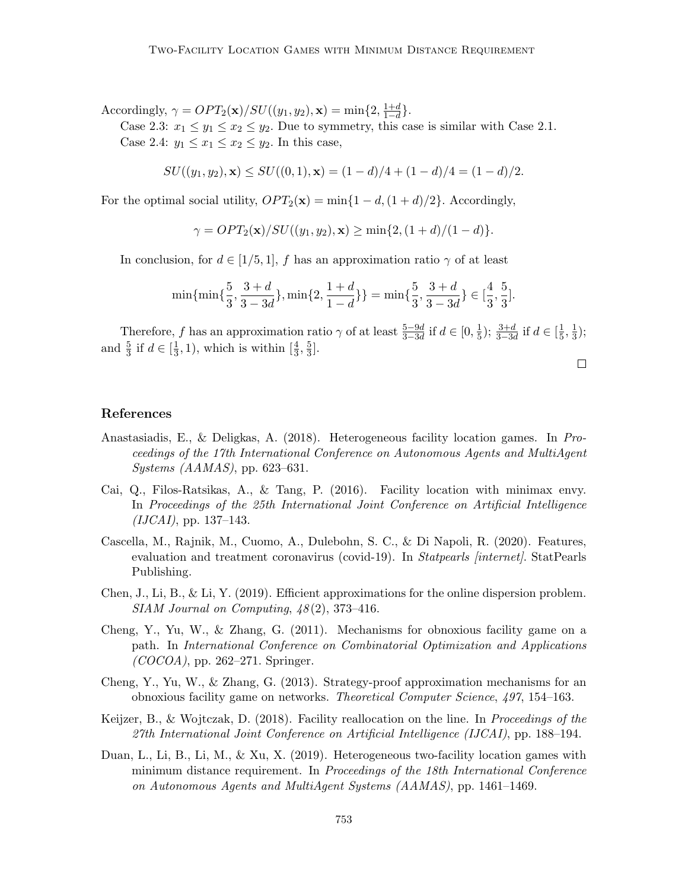Accordingly,  $\gamma = OPT_2(\mathbf{x})/SU((y_1, y_2), \mathbf{x}) = \min\{2, \frac{1+d}{1-d}\}.$ 

Case 2.3:  $x_1 \leq y_1 \leq x_2 \leq y_2$ . Due to symmetry, this case is similar with Case 2.1. Case 2.4:  $y_1 \leq x_1 \leq x_2 \leq y_2$ . In this case,

$$
SU((y_1, y_2), \mathbf{x}) \leq SU((0, 1), \mathbf{x}) = (1 - d)/4 + (1 - d)/4 = (1 - d)/2.
$$

For the optimal social utility,  $OPT_2(\mathbf{x}) = \min\{1 - d, (1 + d)/2\}$ . Accordingly,

 $\gamma = OPT_2(\mathbf{x})/SU((y_1, y_2), \mathbf{x}) \ge \min\{2, (1+d)/(1-d)\}.$ 

In conclusion, for  $d \in [1/5, 1]$ , f has an approximation ratio  $\gamma$  of at least

$$
\min\{\min\{\frac{5}{3}, \frac{3+d}{3-3d}\}, \min\{2, \frac{1+d}{1-d}\}\} = \min\{\frac{5}{3}, \frac{3+d}{3-3d}\} \in [\frac{4}{3}, \frac{5}{3}].
$$

Therefore, f has an approximation ratio  $\gamma$  of at least  $\frac{5-9d}{3-3d}$  if  $d \in [0, \frac{1}{5}]$  $(\frac{1}{5}); \frac{3+d}{3-3d}$  if  $d \in [\frac{1}{5}]$  $\frac{1}{5}, \frac{1}{3}$  $\frac{1}{3}$ ); and  $\frac{5}{3}$  if  $d \in [\frac{1}{3}]$  $(\frac{1}{3}, 1)$ , which is within  $[\frac{4}{3}, \frac{5}{3}]$  $\frac{5}{3}$ .

 $\Box$ 

# References

- Anastasiadis, E., & Deligkas, A. (2018). Heterogeneous facility location games. In Proceedings of the 17th International Conference on Autonomous Agents and MultiAgent Systems (AAMAS), pp. 623–631.
- Cai, Q., Filos-Ratsikas, A., & Tang, P. (2016). Facility location with minimax envy. In Proceedings of the 25th International Joint Conference on Artificial Intelligence  $(IJCAI),$  pp. 137–143.
- Cascella, M., Rajnik, M., Cuomo, A., Dulebohn, S. C., & Di Napoli, R. (2020). Features, evaluation and treatment coronavirus (covid-19). In Statpearls [internet]. StatPearls Publishing.
- Chen, J., Li, B., & Li, Y. (2019). Efficient approximations for the online dispersion problem.  $SIAM\ Journal\ on\ Computing,\ 48(2),\ 373-416.$
- Cheng, Y., Yu, W., & Zhang, G.  $(2011)$ . Mechanisms for obnoxious facility game on a path. In International Conference on Combinatorial Optimization and Applications  $(COCOA)$ , pp. 262–271. Springer.
- Cheng, Y., Yu, W., & Zhang, G. (2013). Strategy-proof approximation mechanisms for an obnoxious facility game on networks. Theoretical Computer Science, 497, 154–163.
- Keijzer, B., & Wojtczak, D. (2018). Facility reallocation on the line. In *Proceedings of the* 27th International Joint Conference on Artificial Intelligence (IJCAI), pp. 188–194.
- Duan, L., Li, B., Li, M., & Xu, X. (2019). Heterogeneous two-facility location games with minimum distance requirement. In Proceedings of the 18th International Conference on Autonomous Agents and MultiAgent Systems (AAMAS), pp. 1461–1469.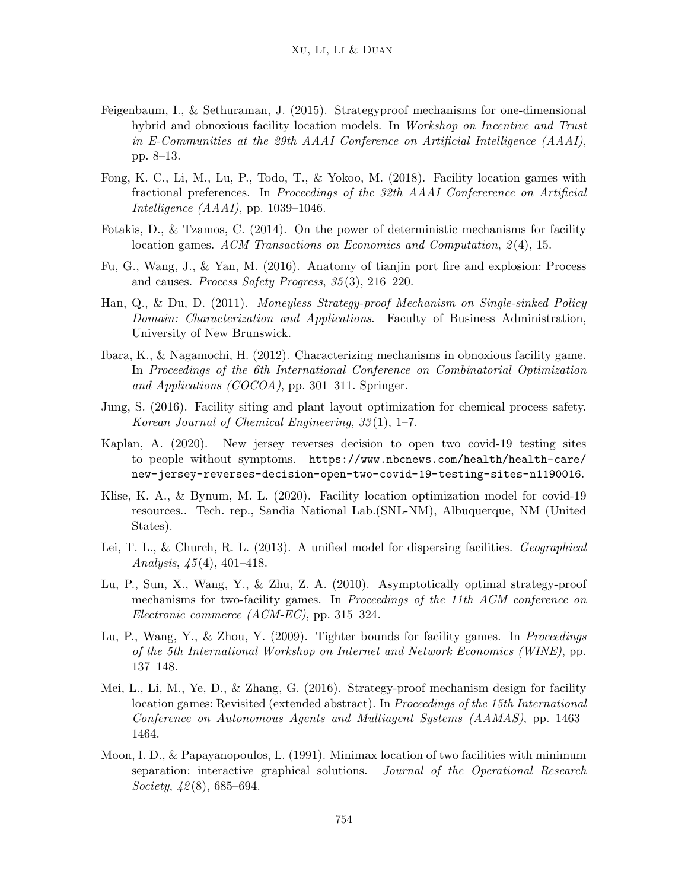- Feigenbaum, I., & Sethuraman, J. (2015). Strategyproof mechanisms for one-dimensional hybrid and obnoxious facility location models. In Workshop on Incentive and Trust in E-Communities at the 29th AAAI Conference on Artificial Intelligence (AAAI), pp. 8–13.
- Fong, K. C., Li, M., Lu, P., Todo, T., & Yokoo, M. (2018). Facility location games with fractional preferences. In Proceedings of the 32th AAAI Confererence on Artificial Intelligence  $(AAAI)$ , pp. 1039–1046.
- Fotakis, D., & Tzamos, C. (2014). On the power of deterministic mechanisms for facility location games. ACM Transactions on Economics and Computation, 2(4), 15.
- Fu, G., Wang, J., & Yan, M. (2016). Anatomy of tianjin port fire and explosion: Process and causes. Process Safety Progress, 35 (3), 216–220.
- Han, Q., & Du, D. (2011). Moneyless Strategy-proof Mechanism on Single-sinked Policy Domain: Characterization and Applications. Faculty of Business Administration, University of New Brunswick.
- Ibara, K., & Nagamochi, H. (2012). Characterizing mechanisms in obnoxious facility game. In Proceedings of the 6th International Conference on Combinatorial Optimization and Applications (COCOA), pp. 301–311. Springer.
- Jung, S. (2016). Facility siting and plant layout optimization for chemical process safety. Korean Journal of Chemical Engineering, 33 (1), 1–7.
- Kaplan, A. (2020). New jersey reverses decision to open two covid-19 testing sites to people without symptoms. https://www.nbcnews.com/health/health-care/ new-jersey-reverses-decision-open-two-covid-19-testing-sites-n1190016.
- Klise, K. A., & Bynum, M. L. (2020). Facility location optimization model for covid-19 resources.. Tech. rep., Sandia National Lab.(SNL-NM), Albuquerque, NM (United States).
- Lei, T. L., & Church, R. L. (2013). A unified model for dispersing facilities. Geographical Analysis,  $\frac{45(4)}{401-418}$ .
- Lu, P., Sun, X., Wang, Y., & Zhu, Z. A. (2010). Asymptotically optimal strategy-proof mechanisms for two-facility games. In *Proceedings of the 11th ACM conference on* Electronic commerce (ACM-EC), pp. 315–324.
- Lu, P., Wang, Y., & Zhou, Y. (2009). Tighter bounds for facility games. In Proceedings of the 5th International Workshop on Internet and Network Economics (WINE), pp. 137–148.
- Mei, L., Li, M., Ye, D., & Zhang, G. (2016). Strategy-proof mechanism design for facility location games: Revisited (extended abstract). In *Proceedings of the 15th International* Conference on Autonomous Agents and Multiagent Systems (AAMAS), pp. 1463– 1464.
- Moon, I. D., & Papayanopoulos, L. (1991). Minimax location of two facilities with minimum separation: interactive graphical solutions. Journal of the Operational Research Society,  $42(8)$ , 685–694.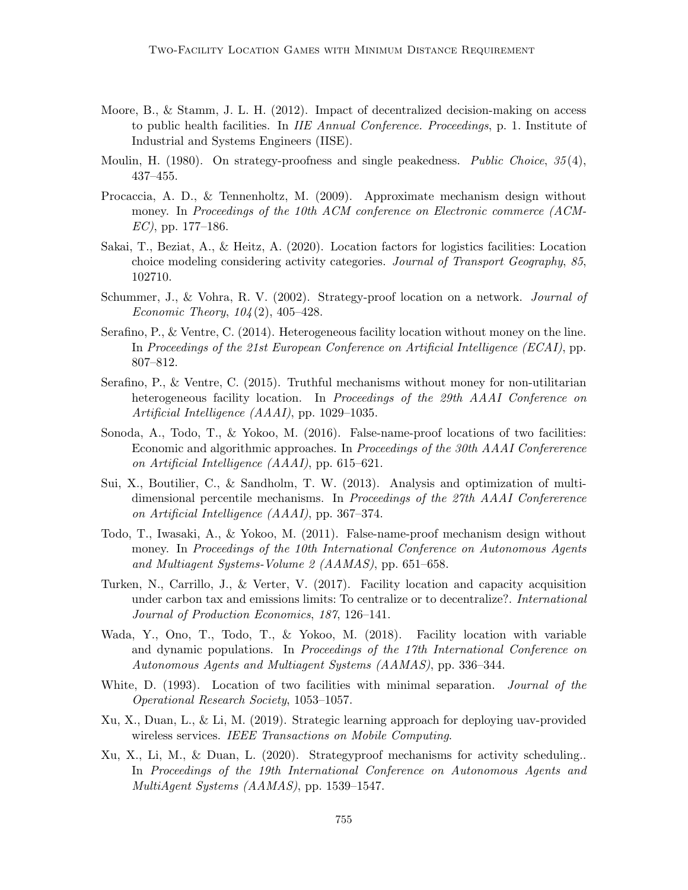- Moore, B., & Stamm, J. L. H. (2012). Impact of decentralized decision-making on access to public health facilities. In IIE Annual Conference. Proceedings, p. 1. Institute of Industrial and Systems Engineers (IISE).
- Moulin, H. (1980). On strategy-proofness and single peakedness. Public Choice,  $35(4)$ , 437–455.
- Procaccia, A. D., & Tennenholtz, M. (2009). Approximate mechanism design without money. In Proceedings of the 10th ACM conference on Electronic commerce (ACM- $EC$ ), pp. 177–186.
- Sakai, T., Beziat, A., & Heitz, A. (2020). Location factors for logistics facilities: Location choice modeling considering activity categories. Journal of Transport Geography, 85, 102710.
- Schummer, J., & Vohra, R. V. (2002). Strategy-proof location on a network. *Journal of* Economic Theory,  $104(2)$ ,  $405-428$ .
- Serafino, P., & Ventre, C. (2014). Heterogeneous facility location without money on the line. In Proceedings of the 21st European Conference on Artificial Intelligence (ECAI), pp. 807–812.
- Serafino, P., & Ventre, C. (2015). Truthful mechanisms without money for non-utilitarian heterogeneous facility location. In Proceedings of the 29th AAAI Conference on Artificial Intelligence (AAAI), pp. 1029–1035.
- Sonoda, A., Todo, T., & Yokoo, M. (2016). False-name-proof locations of two facilities: Economic and algorithmic approaches. In Proceedings of the 30th AAAI Confererence on Artificial Intelligence (AAAI), pp. 615–621.
- Sui, X., Boutilier, C., & Sandholm, T. W. (2013). Analysis and optimization of multidimensional percentile mechanisms. In Proceedings of the 27th AAAI Confererence on Artificial Intelligence (AAAI), pp. 367–374.
- Todo, T., Iwasaki, A., & Yokoo, M. (2011). False-name-proof mechanism design without money. In Proceedings of the 10th International Conference on Autonomous Agents and Multiagent Systems-Volume 2 (AAMAS), pp. 651–658.
- Turken, N., Carrillo, J., & Verter, V. (2017). Facility location and capacity acquisition under carbon tax and emissions limits: To centralize or to decentralize?. International Journal of Production Economics, 187, 126–141.
- Wada, Y., Ono, T., Todo, T., & Yokoo, M. (2018). Facility location with variable and dynamic populations. In Proceedings of the 17th International Conference on Autonomous Agents and Multiagent Systems (AAMAS), pp. 336–344.
- White, D. (1993). Location of two facilities with minimal separation. *Journal of the* Operational Research Society, 1053–1057.
- Xu, X., Duan, L., & Li, M. (2019). Strategic learning approach for deploying uav-provided wireless services. IEEE Transactions on Mobile Computing.
- Xu, X., Li, M., & Duan, L. (2020). Strategyproof mechanisms for activity scheduling.. In Proceedings of the 19th International Conference on Autonomous Agents and MultiAgent Systems (AAMAS), pp. 1539–1547.